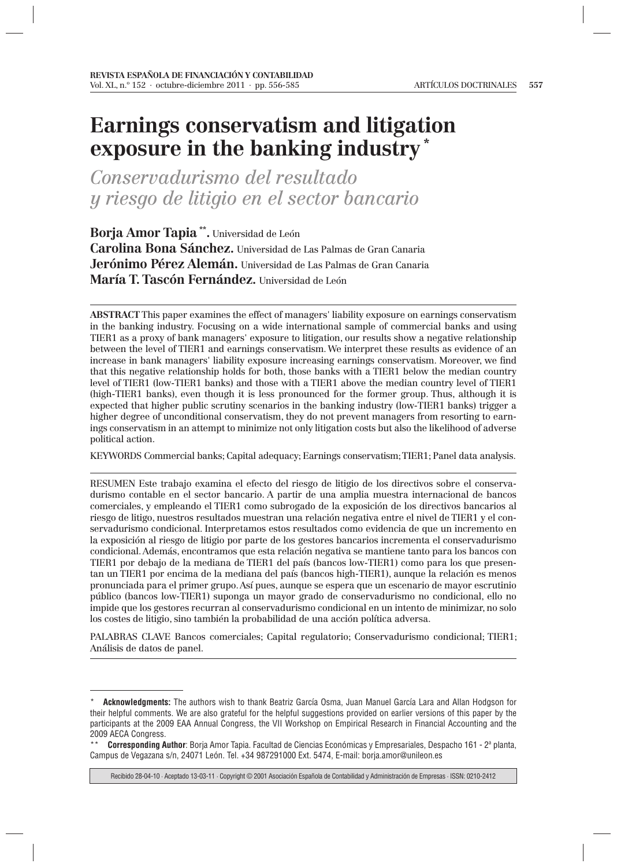## **Earnings conservatism and litigation exposure in the banking industry \***

*Conservadurismo del resultado y riesgo de litigio en el sector bancario*

**Borja Amor Tapia \*\*.** Universidad de León **Carolina Bona Sánchez.** Universidad de Las Palmas de Gran Canaria **Jerónimo Pérez Alemán.** Universidad de Las Palmas de Gran Canaria **María T. Tascón Fernández.** Universidad de León

**ABSTRACT** This paper examines the effect of managers' liability exposure on earnings conservatism in the banking industry. Focusing on a wide international sample of commercial banks and using TIER1 as a proxy of bank managers' exposure to litigation, our results show a negative relationship between the level of TIER1 and earnings conservatism. We interpret these results as evidence of an increase in bank managers' liability exposure increasing earnings conservatism. Moreover, we find that this negative relationship holds for both, those banks with a TIER1 below the median country level of TIER1 (low-TIER1 banks) and those with a TIER1 above the median country level of TIER1 (high-TIER1 banks), even though it is less pronounced for the former group. Thus, although it is expected that higher public scrutiny scenarios in the banking industry (low-TIER1 banks) trigger a higher degree of unconditional conservatism, they do not prevent managers from resorting to earnings conservatism in an attempt to minimize not only litigation costs but also the likelihood of adverse political action.

KEYWORDS Commercial banks; Capital adequacy; Earnings conservatism; TIER1; Panel data analysis.

RESUMEN Este trabajo examina el efecto del riesgo de litigio de los directivos sobre el conservadurismo contable en el sector bancario. A partir de una amplia muestra internacional de bancos comerciales, y empleando el TIER1 como subrogado de la exposición de los directivos bancarios al riesgo de litigo, nuestros resultados muestran una relación negativa entre el nivel de TIER1 y el conservadurismo condicional. Interpretamos estos resultados como evidencia de que un incremento en la exposición al riesgo de litigio por parte de los gestores bancarios incrementa el conservadurismo condicional. Además, encontramos que esta relación negativa se mantiene tanto para los bancos con TIER1 por debajo de la mediana de TIER1 del país (bancos low-TIER1) como para los que presentan un TIER1 por encima de la mediana del país (bancos high-TIER1), aunque la relación es menos pronunciada para el primer grupo. Así pues, aunque se espera que un escenario de mayor escrutinio público (bancos low-TIER1) suponga un mayor grado de conservadurismo no condicional, ello no impide que los gestores recurran al conservadurismo condicional en un intento de minimizar, no solo los costes de litigio, sino también la probabilidad de una acción política adversa.

PALABRAS CLAVE Bancos comerciales; Capital regulatorio; Conservadurismo condicional; TIER1; Análisis de datos de panel.

<sup>\*</sup> **Acknowledgments:** The authors wish to thank Beatriz García Osma, Juan Manuel García Lara and Allan Hodgson for their helpful comments. We are also grateful for the helpful suggestions provided on earlier versions of this paper by the participants at the 2009 EAA Annual Congress, the VII Workshop on Empirical Research in Financial Accounting and the 2009 AECA Congress.

<sup>\*\*</sup> **Corresponding Author**: Borja Amor Tapia. Facultad de Ciencias Económicas y Empresariales, Despacho 161 - 2ª planta, Campus de Vegazana s/n, 24071 León. Tel. +34 987291000 Ext. 5474, E-mail: borja.amor@unileon.es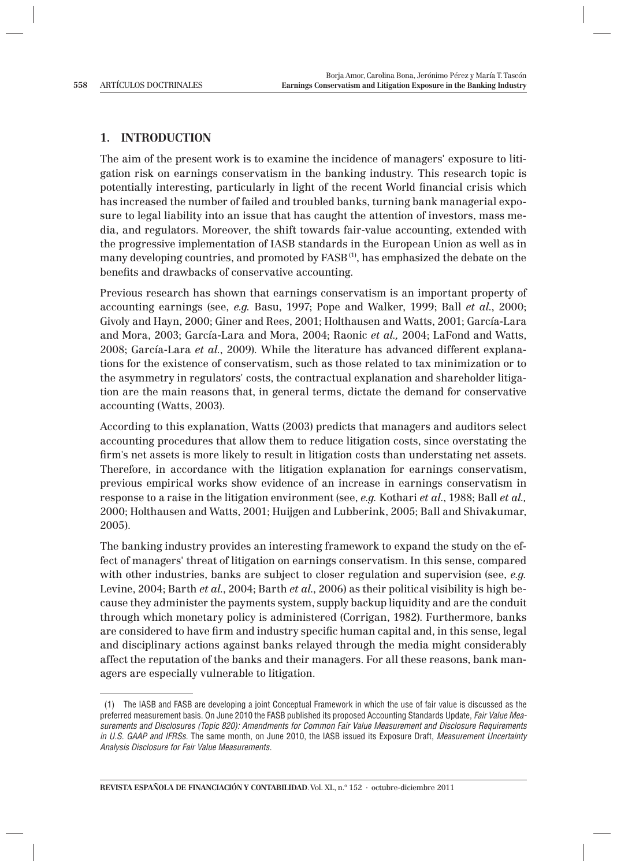## **1. INTRODUCTION**

The aim of the present work is to examine the incidence of managers' exposure to litigation risk on earnings conservatism in the banking industry. This research topic is potentially interesting, particularly in light of the recent World financial crisis which has increased the number of failed and troubled banks, turning bank managerial exposure to legal liability into an issue that has caught the attention of investors, mass media, and regulators. Moreover, the shift towards fair-value accounting, extended with the progressive implementation of IASB standards in the European Union as well as in many developing countries, and promoted by  $FASB<sup>(1)</sup>$ , has emphasized the debate on the benefits and drawbacks of conservative accounting.

Previous research has shown that earnings conservatism is an important property of accounting earnings (see, *e.g.* Basu, 1997; Pope and Walker, 1999; Ball *et al.*, 2000; Givoly and Hayn, 2000; Giner and Rees, 2001; Holthausen and Watts, 2001; García-Lara and Mora, 2003; García-Lara and Mora, 2004; Raonic *et al.,* 2004; LaFond and Watts, 2008; García-Lara *et al.*, 2009). While the literature has advanced different explanations for the existence of conservatism, such as those related to tax minimization or to the asymmetry in regulators' costs, the contractual explanation and shareholder litigation are the main reasons that, in general terms, dictate the demand for conservative accounting (Watts, 2003).

According to this explanation, Watts (2003) predicts that managers and auditors select accounting procedures that allow them to reduce litigation costs, since overstating the firm's net assets is more likely to result in litigation costs than understating net assets. Therefore, in accordance with the litigation explanation for earnings conservatism, previous empirical works show evidence of an increase in earnings conservatism in response to a raise in the litigation environment (see, *e.g.* Kothari *et al*., 1988; Ball *et al.,* 2000; Holthausen and Watts, 2001; Huijgen and Lubberink, 2005; Ball and Shivakumar, 2005).

The banking industry provides an interesting framework to expand the study on the effect of managers' threat of litigation on earnings conservatism. In this sense, compared with other industries, banks are subject to closer regulation and supervision (see, *e.g.* Levine, 2004; Barth *et al.*, 2004; Barth *et al.*, 2006) as their political visibility is high because they administer the payments system, supply backup liquidity and are the conduit through which monetary policy is administered (Corrigan, 1982). Furthermore, banks are considered to have firm and industry specific human capital and, in this sense, legal and disciplinary actions against banks relayed through the media might considerably affect the reputation of the banks and their managers. For all these reasons, bank managers are especially vulnerable to litigation.

 <sup>(1)</sup> The IASB and FASB are developing a joint Conceptual Framework in which the use of fair value is discussed as the preferred measurement basis. On June 2010 the FASB published its proposed Accounting Standards Update, Fair Value Measurements and Disclosures (Topic 820): Amendments for Common Fair Value Measurement and Disclosure Requirements in U.S. GAAP and IFRSs. The same month, on June 2010, the IASB issued its Exposure Draft, Measurement Uncertainty Analysis Disclosure for Fair Value Measurements.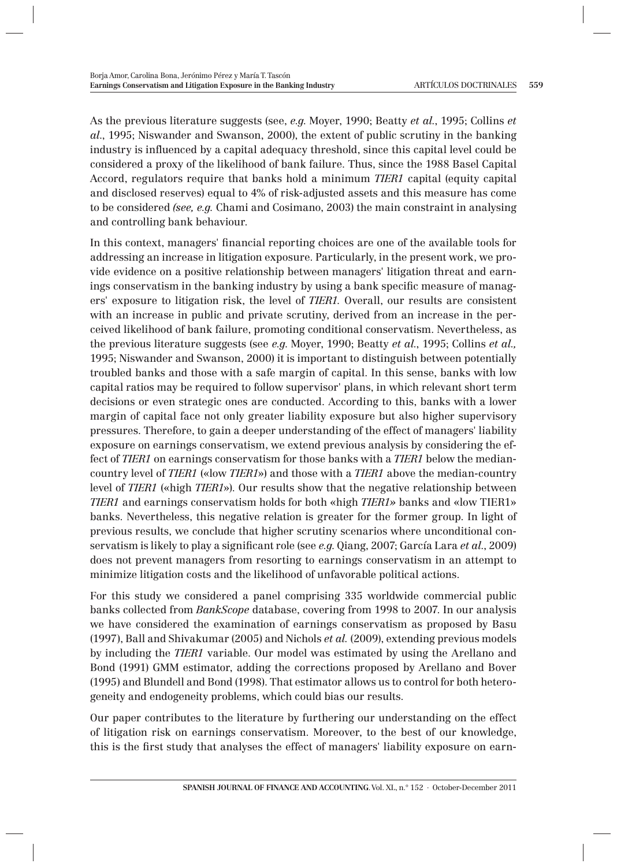As the previous literature suggests (see, *e.g*. Moyer, 1990; Beatty *et al.*, 1995; Collins *et al*., 1995; Niswander and Swanson, 2000), the extent of public scrutiny in the banking industry is influenced by a capital adequacy threshold, since this capital level could be considered a proxy of the likelihood of bank failure. Thus, since the 1988 Basel Capital Accord, regulators require that banks hold a minimum *TIER1* capital (equity capital and disclosed reserves) equal to 4% of risk-adjusted assets and this measure has come to be considered *(see, e.g.* Chami and Cosimano, 2003) the main constraint in analysing and controlling bank behaviour.

In this context, managers' financial reporting choices are one of the available tools for addressing an increase in litigation exposure. Particularly, in the present work, we provide evidence on a positive relationship between managers' litigation threat and earnings conservatism in the banking industry by using a bank specific measure of managers' exposure to litigation risk, the level of *TIER1.* Overall, our results are consistent with an increase in public and private scrutiny, derived from an increase in the perceived likelihood of bank failure, promoting conditional conservatism. Nevertheless, as the previous literature suggests (see *e.g*. Moyer, 1990; Beatty *et al.*, 1995; Collins *et al.,* 1995; Niswander and Swanson, 2000) it is important to distinguish between potentially troubled banks and those with a safe margin of capital. In this sense, banks with low capital ratios may be required to follow supervisor' plans, in which relevant short term decisions or even strategic ones are conducted. According to this, banks with a lower margin of capital face not only greater liability exposure but also higher supervisory pressures. Therefore, to gain a deeper understanding of the effect of managers' liability exposure on earnings conservatism, we extend previous analysis by considering the effect of *TIER1* on earnings conservatism for those banks with a *TIER1* below the mediancountry level of *TIER1* («low *TIER1*») and those with a *TIER1* above the median-country level of *TIER1* («high *TIER1*»). Our results show that the negative relationship between *TIER1* and earnings conservatism holds for both «high *TIER1»* banks and «low TIER1» banks. Nevertheless, this negative relation is greater for the former group. In light of previous results, we conclude that higher scrutiny scenarios where unconditional conservatism is likely to play a significant role (see *e.g.* Qiang, 2007; García Lara *et al.*, 2009) does not prevent managers from resorting to earnings conservatism in an attempt to minimize litigation costs and the likelihood of unfavorable political actions.

For this study we considered a panel comprising 335 worldwide commercial public banks collected from *BankScope* database, covering from 1998 to 2007. In our analysis we have considered the examination of earnings conservatism as proposed by Basu (1997), Ball and Shivakumar (2005) and Nichols *et al.* (2009), extending previous models by including the *TIER1* variable. Our model was estimated by using the Arellano and Bond (1991) GMM estimator, adding the corrections proposed by Arellano and Bover (1995) and Blundell and Bond (1998). That estimator allows us to control for both heterogeneity and endogeneity problems, which could bias our results.

Our paper contributes to the literature by furthering our understanding on the effect of litigation risk on earnings conservatism. Moreover, to the best of our knowledge, this is the first study that analyses the effect of managers' liability exposure on earn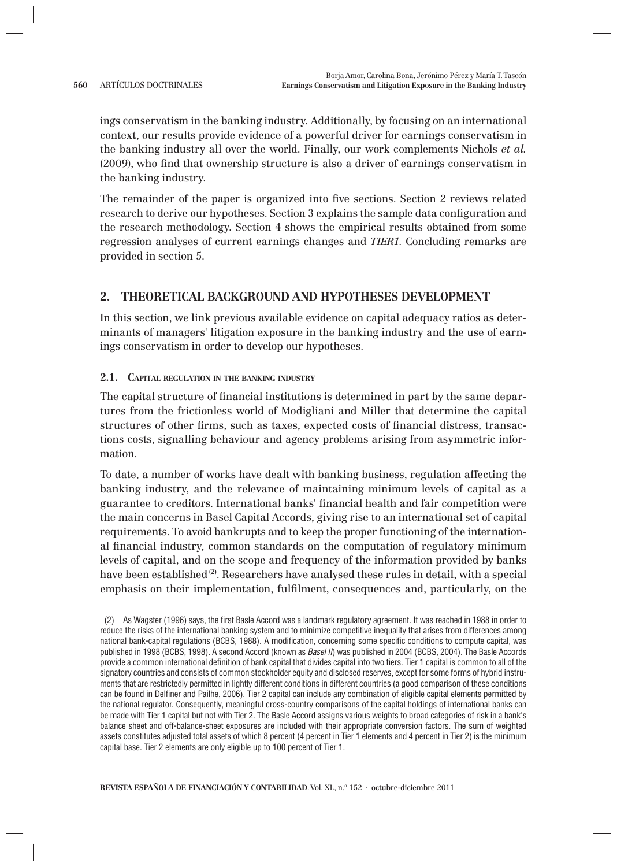ings conservatism in the banking industry. Additionally, by focusing on an international context, our results provide evidence of a powerful driver for earnings conservatism in the banking industry all over the world. Finally, our work complements Nichols *et al.* (2009), who find that ownership structure is also a driver of earnings conservatism in the banking industry.

The remainder of the paper is organized into five sections. Section 2 reviews related research to derive our hypotheses. Section 3 explains the sample data configuration and the research methodology. Section 4 shows the empirical results obtained from some regression analyses of current earnings changes and *TIER1*. Concluding remarks are provided in section 5.

## **2. THEORETICAL BACKGROUND AND HYPOTHESES DEVELOPMENT**

In this section, we link previous available evidence on capital adequacy ratios as determinants of managers' litigation exposure in the banking industry and the use of earnings conservatism in order to develop our hypotheses.

**2.1. CAPITAL REGULATION IN THE BANKING INDUSTRY**

The capital structure of financial institutions is determined in part by the same departures from the frictionless world of Modigliani and Miller that determine the capital structures of other firms, such as taxes, expected costs of financial distress, transactions costs, signalling behaviour and agency problems arising from asymmetric information.

To date, a number of works have dealt with banking business, regulation affecting the banking industry, and the relevance of maintaining minimum levels of capital as a guarantee to creditors. International banks' financial health and fair competition were the main concerns in Basel Capital Accords, giving rise to an international set of capital requirements. To avoid bankrupts and to keep the proper functioning of the international financial industry, common standards on the computation of regulatory minimum levels of capital, and on the scope and frequency of the information provided by banks have been established<sup>(2)</sup>. Researchers have analysed these rules in detail, with a special emphasis on their implementation, fulfilment, consequences and, particularly, on the

<sup>(2)</sup> As Wagster (1996) says, the first Basle Accord was a landmark regulatory agreement. It was reached in 1988 in order to reduce the risks of the international banking system and to minimize competitive inequality that arises from differences among national bank-capital regulations (BCBS, 1988). A modification, concerning some specific conditions to compute capital, was published in 1998 (BCBS, 1998). A second Accord (known as Basel II) was published in 2004 (BCBS, 2004). The Basle Accords provide a common international definition of bank capital that divides capital into two tiers. Tier 1 capital is common to all of the signatory countries and consists of common stockholder equity and disclosed reserves, except for some forms of hybrid instruments that are restrictedly permitted in lightly different conditions in different countries (a good comparison of these conditions can be found in Delfiner and Pailhe, 2006). Tier 2 capital can include any combination of eligible capital elements permitted by the national regulator. Consequently, meaningful cross-country comparisons of the capital holdings of international banks can be made with Tier 1 capital but not with Tier 2. The Basle Accord assigns various weights to broad categories of risk in a bank's balance sheet and off-balance-sheet exposures are included with their appropriate conversion factors. The sum of weighted assets constitutes adjusted total assets of which 8 percent (4 percent in Tier 1 elements and 4 percent in Tier 2) is the minimum capital base. Tier 2 elements are only eligible up to 100 percent of Tier 1.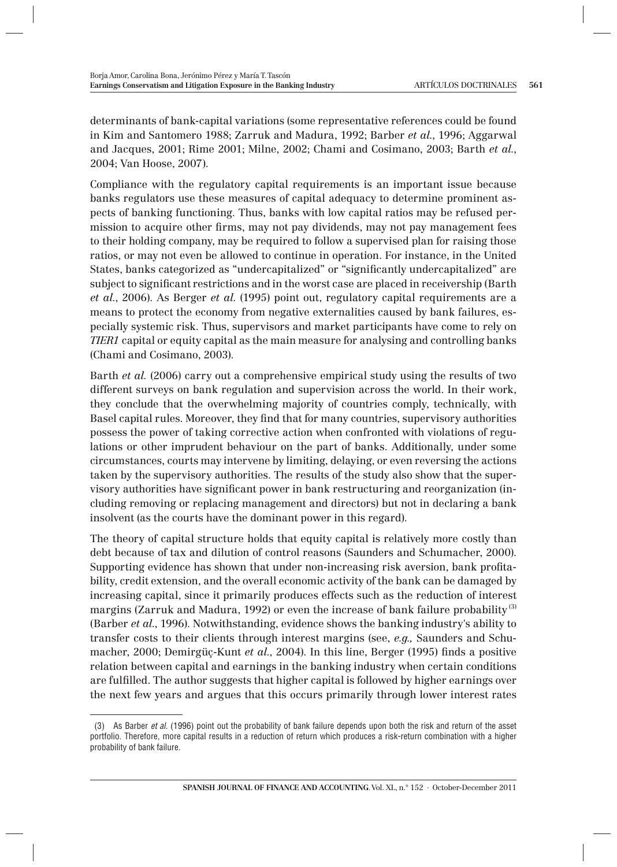determinants of bank-capital variations (some representative references could be found in Kim and Santomero 1988; Zarruk and Madura, 1992; Barber *et al.*, 1996; Aggarwal and Jacques, 2001; Rime 2001; Milne, 2002; Chami and Cosimano, 2003; Barth *et al.*, 2004; Van Hoose, 2007).

Compliance with the regulatory capital requirements is an important issue because banks regulators use these measures of capital adequacy to determine prominent aspects of banking functioning. Thus, banks with low capital ratios may be refused permission to acquire other firms, may not pay dividends, may not pay management fees to their holding company, may be required to follow a supervised plan for raising those ratios, or may not even be allowed to continue in operation. For instance, in the United States, banks categorized as "undercapitalized" or "significantly undercapitalized" are subject to significant restrictions and in the worst case are placed in receivership (Barth *et al.*, 2006). As Berger *et al*. (1995) point out, regulatory capital requirements are a means to protect the economy from negative externalities caused by bank failures, especially systemic risk. Thus, supervisors and market participants have come to rely on *TIER1* capital or equity capital as the main measure for analysing and controlling banks (Chami and Cosimano, 2003).

Barth *et al.* (2006) carry out a comprehensive empirical study using the results of two different surveys on bank regulation and supervision across the world. In their work, they conclude that the overwhelming majority of countries comply, technically, with Basel capital rules. Moreover, they find that for many countries, supervisory authorities possess the power of taking corrective action when confronted with violations of regulations or other imprudent behaviour on the part of banks. Additionally, under some circumstances, courts may intervene by limiting, delaying, or even reversing the actions taken by the supervisory authorities. The results of the study also show that the supervisory authorities have significant power in bank restructuring and reorganization (including removing or replacing management and directors) but not in declaring a bank insolvent (as the courts have the dominant power in this regard).

The theory of capital structure holds that equity capital is relatively more costly than debt because of tax and dilution of control reasons (Saunders and Schumacher, 2000). Supporting evidence has shown that under non-increasing risk aversion, bank profitability, credit extension, and the overall economic activity of the bank can be damaged by increasing capital, since it primarily produces effects such as the reduction of interest margins (Zarruk and Madura, 1992) or even the increase of bank failure probability<sup>(3)</sup> (Barber *et al.*, 1996). Notwithstanding, evidence shows the banking industry's ability to transfer costs to their clients through interest margins (see, *e.g.,* Saunders and Schumacher, 2000; Demirgüç-Kunt *et al.*, 2004). In this line, Berger (1995) finds a positive relation between capital and earnings in the banking industry when certain conditions are fulfilled. The author suggests that higher capital is followed by higher earnings over the next few years and argues that this occurs primarily through lower interest rates

 <sup>(3)</sup> As Barber et al. (1996) point out the probability of bank failure depends upon both the risk and return of the asset portfolio. Therefore, more capital results in a reduction of return which produces a risk-return combination with a higher probability of bank failure.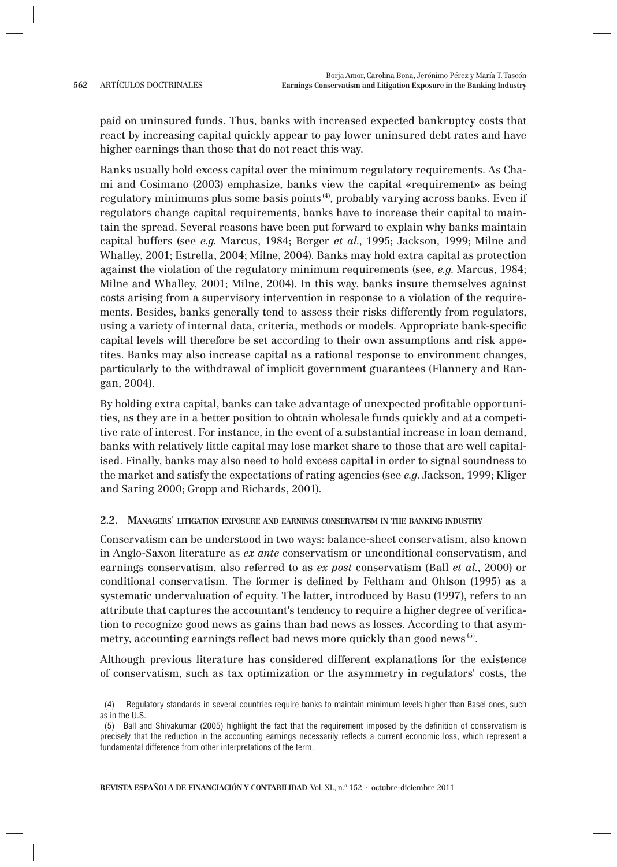paid on uninsured funds. Thus, banks with increased expected bankruptcy costs that react by increasing capital quickly appear to pay lower uninsured debt rates and have higher earnings than those that do not react this way.

Banks usually hold excess capital over the minimum regulatory requirements. As Chami and Cosimano (2003) emphasize, banks view the capital «requirement» as being regulatory minimums plus some basis points (4), probably varying across banks. Even if regulators change capital requirements, banks have to increase their capital to maintain the spread. Several reasons have been put forward to explain why banks maintain capital buffers (see *e.g*. Marcus, 1984; Berger *et al.*, 1995; Jackson, 1999; Milne and Whalley, 2001; Estrella, 2004; Milne, 2004). Banks may hold extra capital as protection against the violation of the regulatory minimum requirements (see, *e.g*. Marcus, 1984; Milne and Whalley, 2001; Milne, 2004). In this way, banks insure themselves against costs arising from a supervisory intervention in response to a violation of the requirements. Besides, banks generally tend to assess their risks differently from regulators, using a variety of internal data, criteria, methods or models. Appropriate bank-specific capital levels will therefore be set according to their own assumptions and risk appetites. Banks may also increase capital as a rational response to environment changes, particularly to the withdrawal of implicit government guarantees (Flannery and Rangan, 2004).

By holding extra capital, banks can take advantage of unexpected profitable opportunities, as they are in a better position to obtain wholesale funds quickly and at a competitive rate of interest. For instance, in the event of a substantial increase in loan demand, banks with relatively little capital may lose market share to those that are well capitalised. Finally, banks may also need to hold excess capital in order to signal soundness to the market and satisfy the expectations of rating agencies (see *e.g*. Jackson, 1999; Kliger and Saring 2000; Gropp and Richards, 2001).

#### **2.2. MANAGERS' LITIGATION EXPOSURE AND EARNINGS CONSERVATISM IN THE BANKING INDUSTRY**

Conservatism can be understood in two ways: balance-sheet conservatism, also known in Anglo-Saxon literature as *ex ante* conservatism or unconditional conservatism, and earnings conservatism, also referred to as *ex post* conservatism (Ball *et al.*, 2000) or conditional conservatism. The former is defined by Feltham and Ohlson (1995) as a systematic undervaluation of equity. The latter, introduced by Basu (1997), refers to an attribute that captures the accountant's tendency to require a higher degree of verification to recognize good news as gains than bad news as losses. According to that asymmetry, accounting earnings reflect bad news more quickly than good news <sup>(5)</sup>.

Although previous literature has considered different explanations for the existence of conservatism, such as tax optimization or the asymmetry in regulators' costs, the

 <sup>(4)</sup> Regulatory standards in several countries require banks to maintain minimum levels higher than Basel ones, such as in the U.S.

<sup>(5)</sup> Ball and Shivakumar (2005) highlight the fact that the requirement imposed by the definition of conservatism is precisely that the reduction in the accounting earnings necessarily reflects a current economic loss, which represent a fundamental difference from other interpretations of the term.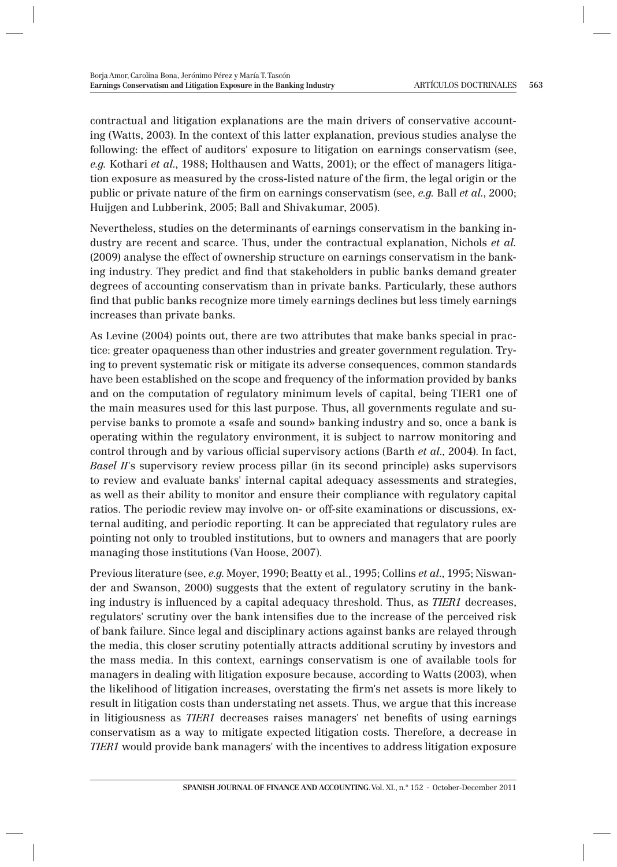contractual and litigation explanations are the main drivers of conservative accounting (Watts, 2003). In the context of this latter explanation, previous studies analyse the following: the effect of auditors' exposure to litigation on earnings conservatism (see, *e.g.* Kothari *et al*., 1988; Holthausen and Watts, 2001); or the effect of managers litigation exposure as measured by the cross-listed nature of the firm, the legal origin or the public or private nature of the firm on earnings conservatism (see, *e.g.* Ball *et al.*, 2000; Huijgen and Lubberink, 2005; Ball and Shivakumar, 2005).

Nevertheless, studies on the determinants of earnings conservatism in the banking industry are recent and scarce. Thus, under the contractual explanation, Nichols *et al.* (2009) analyse the effect of ownership structure on earnings conservatism in the banking industry. They predict and find that stakeholders in public banks demand greater degrees of accounting conservatism than in private banks. Particularly, these authors find that public banks recognize more timely earnings declines but less timely earnings increases than private banks.

As Levine (2004) points out, there are two attributes that make banks special in practice: greater opaqueness than other industries and greater government regulation. Trying to prevent systematic risk or mitigate its adverse consequences, common standards have been established on the scope and frequency of the information provided by banks and on the computation of regulatory minimum levels of capital, being TIER1 one of the main measures used for this last purpose. Thus, all governments regulate and supervise banks to promote a «safe and sound» banking industry and so, once a bank is operating within the regulatory environment, it is subject to narrow monitoring and control through and by various official supervisory actions (Barth *et al.*, 2004). In fact, *Basel II*'s supervisory review process pillar (in its second principle) asks supervisors to review and evaluate banks' internal capital adequacy assessments and strategies, as well as their ability to monitor and ensure their compliance with regulatory capital ratios. The periodic review may involve on- or off-site examinations or discussions, external auditing, and periodic reporting. It can be appreciated that regulatory rules are pointing not only to troubled institutions, but to owners and managers that are poorly managing those institutions (Van Hoose, 2007).

Previous literature (see, *e.g*. Moyer, 1990; Beatty et al., 1995; Collins *et al*., 1995; Niswander and Swanson, 2000) suggests that the extent of regulatory scrutiny in the banking industry is influenced by a capital adequacy threshold. Thus, as *TIER1* decreases, regulators' scrutiny over the bank intensifies due to the increase of the perceived risk of bank failure. Since legal and disciplinary actions against banks are relayed through the media, this closer scrutiny potentially attracts additional scrutiny by investors and the mass media. In this context, earnings conservatism is one of available tools for managers in dealing with litigation exposure because, according to Watts (2003), when the likelihood of litigation increases, overstating the firm's net assets is more likely to result in litigation costs than understating net assets. Thus, we argue that this increase in litigiousness as *TIER1* decreases raises managers' net benefits of using earnings conservatism as a way to mitigate expected litigation costs. Therefore, a decrease in *TIER1* would provide bank managers' with the incentives to address litigation exposure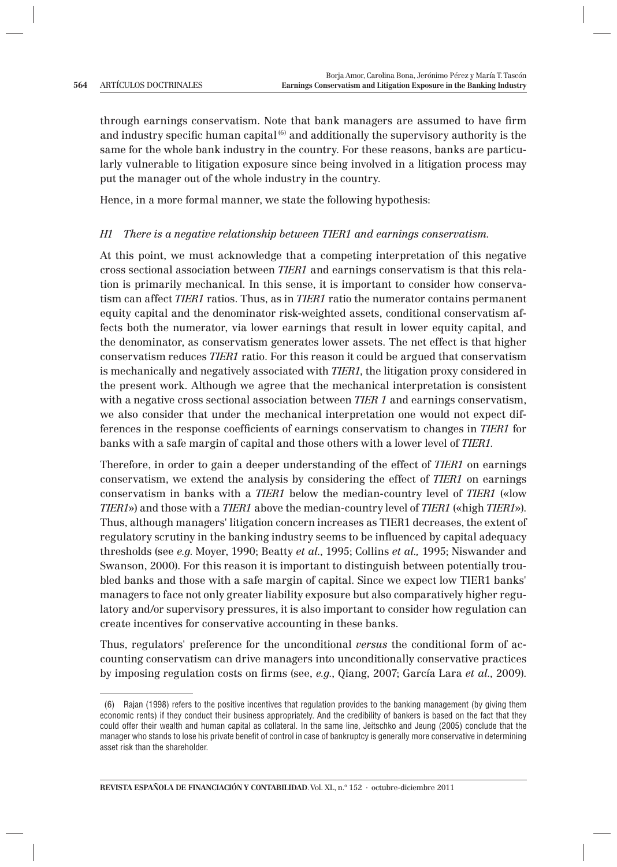through earnings conservatism. Note that bank managers are assumed to have firm and industry specific human capital  $^{(6)}$  and additionally the supervisory authority is the same for the whole bank industry in the country. For these reasons, banks are particularly vulnerable to litigation exposure since being involved in a litigation process may put the manager out of the whole industry in the country.

Hence, in a more formal manner, we state the following hypothesis:

### *H1 There is a negative relationship between TIER1 and earnings conservatism.*

At this point, we must acknowledge that a competing interpretation of this negative cross sectional association between *TIER1* and earnings conservatism is that this relation is primarily mechanical. In this sense, it is important to consider how conservatism can affect *TIER1* ratios. Thus, as in *TIER1* ratio the numerator contains permanent equity capital and the denominator risk-weighted assets, conditional conservatism affects both the numerator, via lower earnings that result in lower equity capital, and the denominator, as conservatism generates lower assets. The net effect is that higher conservatism reduces *TIER1* ratio. For this reason it could be argued that conservatism is mechanically and negatively associated with *TIER1*, the litigation proxy considered in the present work. Although we agree that the mechanical interpretation is consistent with a negative cross sectional association between *TIER 1* and earnings conservatism, we also consider that under the mechanical interpretation one would not expect differences in the response coefficients of earnings conservatism to changes in *TIER1* for banks with a safe margin of capital and those others with a lower level of *TIER1*.

Therefore, in order to gain a deeper understanding of the effect of *TIER1* on earnings conservatism, we extend the analysis by considering the effect of *TIER1* on earnings conservatism in banks with a *TIER1* below the median-country level of *TIER1* («low *TIER1*») and those with a *TIER1* above the median-country level of *TIER1* («high *TIER1*»). Thus, although managers' litigation concern increases as TIER1 decreases, the extent of regulatory scrutiny in the banking industry seems to be influenced by capital adequacy thresholds (see *e.g*. Moyer, 1990; Beatty *et al.*, 1995; Collins *et al.,* 1995; Niswander and Swanson, 2000). For this reason it is important to distinguish between potentially troubled banks and those with a safe margin of capital. Since we expect low TIER1 banks' managers to face not only greater liability exposure but also comparatively higher regulatory and/or supervisory pressures, it is also important to consider how regulation can create incentives for conservative accounting in these banks.

Thus, regulators' preference for the unconditional *versus* the conditional form of accounting conservatism can drive managers into unconditionally conservative practices by imposing regulation costs on firms (see, *e.g.*, Qiang, 2007; García Lara *et al.*, 2009).

 <sup>(6)</sup> Rajan (1998) refers to the positive incentives that regulation provides to the banking management (by giving them economic rents) if they conduct their business appropriately. And the credibility of bankers is based on the fact that they could offer their wealth and human capital as collateral. In the same line, Jeitschko and Jeung (2005) conclude that the manager who stands to lose his private benefit of control in case of bankruptcy is generally more conservative in determining asset risk than the shareholder.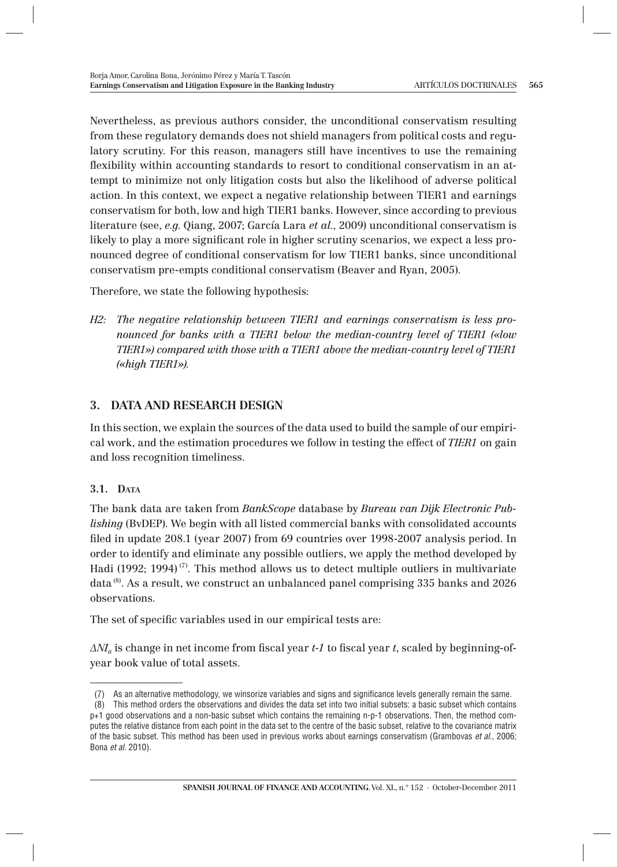Nevertheless, as previous authors consider, the unconditional conservatism resulting from these regulatory demands does not shield managers from political costs and regulatory scrutiny. For this reason, managers still have incentives to use the remaining flexibility within accounting standards to resort to conditional conservatism in an attempt to minimize not only litigation costs but also the likelihood of adverse political action. In this context, we expect a negative relationship between TIER1 and earnings conservatism for both, low and high TIER1 banks. However, since according to previous literature (see, *e.g*. Qiang, 2007; García Lara *et al.*, 2009) unconditional conservatism is likely to play a more significant role in higher scrutiny scenarios, we expect a less pronounced degree of conditional conservatism for low TIER1 banks, since unconditional conservatism pre-empts conditional conservatism (Beaver and Ryan, 2005).

Therefore, we state the following hypothesis:

*H2: The negative relationship between TIER1 and earnings conservatism is less pronounced for banks with a TIER1 below the median-country level of TIER1 («low TIER1») compared with those with a TIER1 above the median-country level of TIER1 («high TIER1»).*

## **3. DATA AND RESEARCH DESIGN**

In this section, we explain the sources of the data used to build the sample of our empirical work, and the estimation procedures we follow in testing the effect of *TIER1* on gain and loss recognition timeliness.

## **3.1. DATA**

The bank data are taken from *BankScope* database by *Bureau van Dijk Electronic Publishing* (BvDEP). We begin with all listed commercial banks with consolidated accounts filed in update 208.1 (year 2007) from 69 countries over 1998-2007 analysis period. In order to identify and eliminate any possible outliers, we apply the method developed by Hadi (1992; 1994)<sup> $(7)$ </sup>. This method allows us to detect multiple outliers in multivariate data<sup>(8)</sup>. As a result, we construct an unbalanced panel comprising 335 banks and 2026 observations.

The set of specific variables used in our empirical tests are:

*ΔNI<sub>ii</sub>* is change in net income from fiscal year *t*-1 to fiscal year *t*, scaled by beginning-ofyear book value of total assets.

<sup>(7)</sup> As an alternative methodology, we winsorize variables and signs and significance levels generally remain the same.

 <sup>(8)</sup> This method orders the observations and divides the data set into two initial subsets: a basic subset which contains p+1 good observations and a non-basic subset which contains the remaining n-p-1 observations. Then, the method computes the relative distance from each point in the data set to the centre of the basic subset, relative to the covariance matrix of the basic subset. This method has been used in previous works about earnings conservatism (Grambovas et al., 2006; Bona et al. 2010).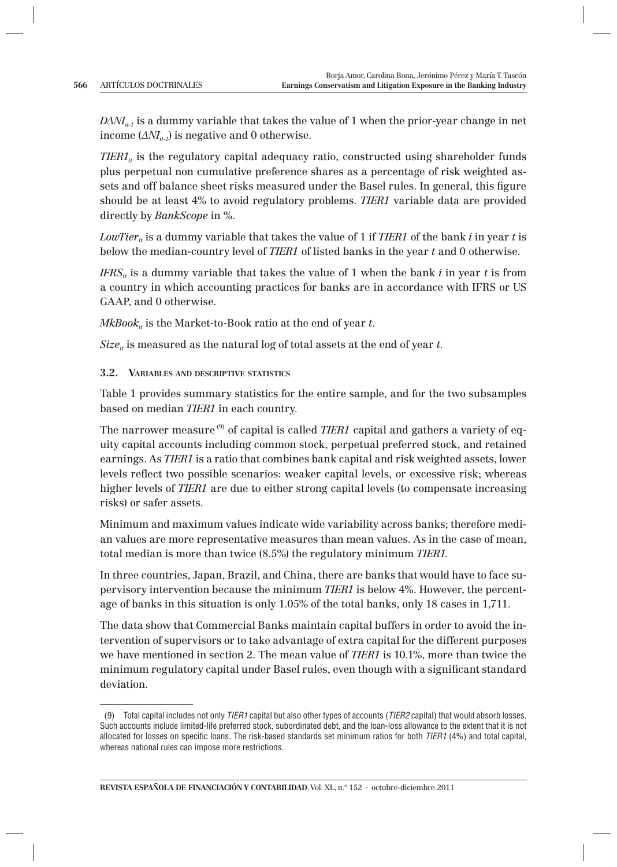$D\Delta N I_{i,j}$  is a dummy variable that takes the value of 1 when the prior-year change in net income  $(\Delta M_{i,j})$  is negative and 0 otherwise.

*TIER1<sub>it</sub>* is the regulatory capital adequacy ratio, constructed using shareholder funds plus perpetual non cumulative preference shares as a percentage of risk weighted assets and off balance sheet risks measured under the Basel rules. In general, this figure should be at least 4% to avoid regulatory problems. *TIER1* variable data are provided directly by *BankScope* in %.

*LowTier<sub>it</sub>* is a dummy variable that takes the value of 1 if *TIER1* of the bank *i* in year *t* is below the median-country level of *TIER1* of listed banks in the year *t* and 0 otherwise.

*IFRS<sub>it</sub>* is a dummy variable that takes the value of 1 when the bank *i* in year *t* is from a country in which accounting practices for banks are in accordance with IFRS or US GAAP, and 0 otherwise.

 $MkBook_{it}$  is the Market-to-Book ratio at the end of year  $t$ .

 $Size<sub>it</sub>$  is measured as the natural log of total assets at the end of year  $t$ .

## **3.2. VARIABLES AND DESCRIPTIVE STATISTICS**

Table 1 provides summary statistics for the entire sample, and for the two subsamples based on median *TIER1* in each country.

The narrower measure<sup>(9)</sup> of capital is called *TIER1* capital and gathers a variety of equity capital accounts including common stock, perpetual preferred stock, and retained earnings. As *TIER1* is a ratio that combines bank capital and risk weighted assets, lower levels reflect two possible scenarios: weaker capital levels, or excessive risk; whereas higher levels of *TIER1* are due to either strong capital levels (to compensate increasing risks) or safer assets.

Minimum and maximum values indicate wide variability across banks; therefore median values are more representative measures than mean values. As in the case of mean, total median is more than twice (8.5%) the regulatory minimum *TIER1.*

In three countries, Japan, Brazil, and China, there are banks that would have to face supervisory intervention because the minimum *TIER1* is below 4%. However, the percentage of banks in this situation is only 1.05% of the total banks, only 18 cases in 1,711.

The data show that Commercial Banks maintain capital buffers in order to avoid the intervention of supervisors or to take advantage of extra capital for the different purposes we have mentioned in section 2. The mean value of *TIER1* is 10.1%, more than twice the minimum regulatory capital under Basel rules, even though with a significant standard deviation.

<sup>(9)</sup> Total capital includes not only TIER1 capital but also other types of accounts (TIER2 capital) that would absorb losses. Such accounts include limited-life preferred stock, subordinated debt, and the loan-loss allowance to the extent that it is not allocated for losses on specific loans. The risk-based standards set minimum ratios for both  $TIER1$  (4%) and total capital, whereas national rules can impose more restrictions.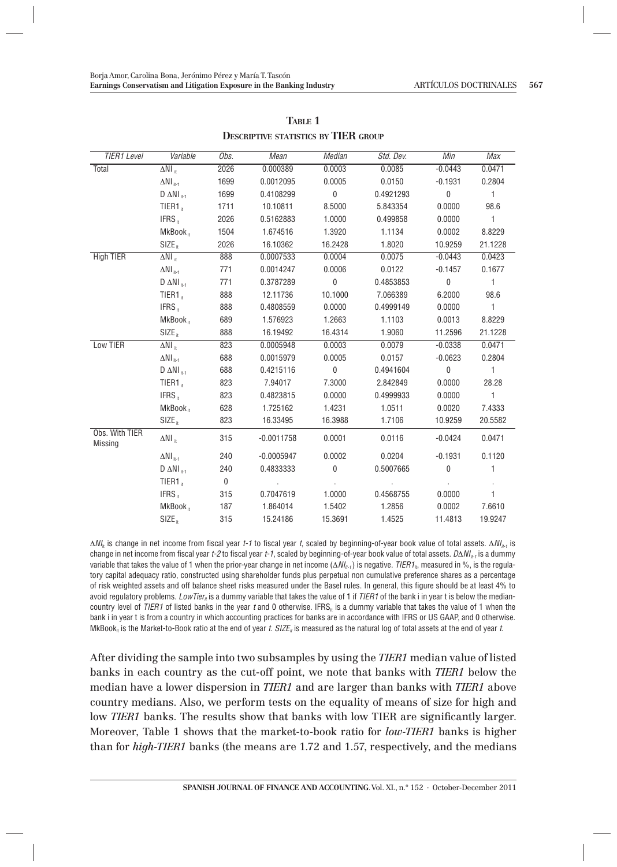| TIER1 Level               | Variable                          | Obs.         | Mean         | <b>Median</b>             | Std. Dev. | Min                       | Max            |
|---------------------------|-----------------------------------|--------------|--------------|---------------------------|-----------|---------------------------|----------------|
| Total                     | $\Delta NI$ .                     | 2026         | 0.000389     | 0.0003                    | 0.0085    | $-0.0443$                 | 0.0471         |
|                           | $\Delta NI_{\text{int-1}}$        | 1699         | 0.0012095    | 0.0005                    | 0.0150    | $-0.1931$                 | 0.2804         |
|                           | $D \Delta NI$ <sub>it-1</sub>     | 1699         | 0.4108299    | $\mathbf{0}$              | 0.4921293 | $\mathbf{0}$              | $\mathbf{1}$   |
|                           | TIER1.                            | 1711         | 10.10811     | 8.5000                    | 5.843354  | 0.0000                    | 98.6           |
|                           | IFRS <sub>it</sub>                | 2026         | 0.5162883    | 1.0000                    | 0.499858  | 0.0000                    | $\mathbf{1}$   |
|                           | MkBook <sub>it</sub>              | 1504         | 1.674516     | 1.3920                    | 1.1134    | 0.0002                    | 8.8229         |
|                           | $SIZE_{it}$                       | 2026         | 16.10362     | 16.2428                   | 1.8020    | 10.9259                   | 21.1228        |
| <b>High TIER</b>          | $\Delta NI_{\rm tr}$              | 888          | 0.0007533    | 0.0004                    | 0.0075    | $-0.0443$                 | 0.0423         |
|                           | $\Delta \rm NI$ it-1              | 771          | 0.0014247    | 0.0006                    | 0.0122    | $-0.1457$                 | 0.1677         |
|                           | $D \Delta NI$ <sub>it-1</sub>     | 771          | 0.3787289    | $\overline{0}$            | 0.4853853 | $\mathbf{0}$              | $\mathbf{1}$   |
|                           | TIER1 <sub>it</sub>               | 888          | 12.11736     | 10.1000                   | 7.066389  | 6.2000                    | 98.6           |
|                           | IFRS <sub>it</sub>                | 888          | 0.4808559    | 0.0000                    | 0.4999149 | 0.0000                    | $\mathbf{1}$   |
|                           | MkBook <sub>it</sub>              | 689          | 1.576923     | 1.2663                    | 1.1103    | 0.0013                    | 8.8229         |
|                           | $SIZE_{n}$                        | 888          | 16.19492     | 16.4314                   | 1.9060    | 11.2596                   | 21.1228        |
| Low TIER                  | $\Delta NI$ .                     | 823          | 0.0005948    | 0.0003                    | 0.0079    | $-0.0338$                 | 0.0471         |
|                           | $\Delta \text{NI}_{\text{int-1}}$ | 688          | 0.0015979    | 0.0005                    | 0.0157    | $-0.0623$                 | 0.2804         |
|                           | $D \Delta NI$ <sub>it-1</sub>     | 688          | 0.4215116    | $\overline{0}$            | 0.4941604 | $\overline{0}$            | $\overline{1}$ |
|                           | $TIER1_{tr}$                      | 823          | 7.94017      | 7.3000                    | 2.842849  | 0.0000                    | 28.28          |
|                           | IFRS <sub>it</sub>                | 823          | 0.4823815    | 0.0000                    | 0.4999933 | 0.0000                    | $\mathbf{1}$   |
|                           | MkBook <sub>it</sub>              | 628          | 1.725162     | 1.4231                    | 1.0511    | 0.0020                    | 7.4333         |
|                           | $SIZE_{n}$                        | 823          | 16.33495     | 16.3988                   | 1.7106    | 10.9259                   | 20.5582        |
| Obs. With TIER<br>Missing | $\Delta NI$ <sub>it</sub>         | 315          | $-0.0011758$ | 0.0001                    | 0.0116    | $-0.0424$                 | 0.0471         |
|                           | $\Delta NI_{i+1}$                 | 240          | $-0.0005947$ | 0.0002                    | 0.0204    | $-0.1931$                 | 0.1120         |
|                           | $D \Delta NI$ <sub>it-1</sub>     | 240          | 0.4833333    | $\mathbf 0$               | 0.5007665 | $\mathbf 0$               | $\mathbf{1}$   |
|                           | $TIER1_{tr}$                      | $\mathbf{0}$ |              | $\mathbf{r} = \mathbf{r}$ | $\bar{z}$ | $\mathbf{r} = \mathbf{r}$ | $\epsilon$     |
|                           | IFRS <sub>it</sub>                | 315          | 0.7047619    | 1.0000                    | 0.4568755 | 0.0000                    | $\mathbf{1}$   |
|                           | MkBook <sub>it</sub>              | 187          | 1.864014     | 1.5402                    | 1.2856    | 0.0002                    | 7.6610         |
|                           | $SIZE_{it}$                       | 315          | 15.24186     | 15.3691                   | 1.4525    | 11.4813                   | 19.9247        |

**TABLE 1 DESCRIPTIVE STATISTICS BY TIER GROUP**

 $\Delta N l_i$  is change in net income from fiscal year t-1 to fiscal year t, scaled by beginning-of-year book value of total assets.  $\Delta N l_{i-1}$  is change in net income from fiscal year t-2 to fiscal year t-1, scaled by beginning-of-year book value of total assets.  $D\Delta N|_{n-1}$  is a dummy variable that takes the value of 1 when the prior-year change in net income  $(\Delta N_{i}t_{i})$  is negative. TIER1<sub>in</sub> measured in %, is the regulatory capital adequacy ratio, constructed using shareholder funds plus perpetual non cumulative preference shares as a percentage of risk weighted assets and off balance sheet risks measured under the Basel rules. In general, this figure should be at least 4% to avoid regulatory problems. LowTier is a dummy variable that takes the value of 1 if  $TIER1$  of the bank i in year t is below the mediancountry level of TIER1 of listed banks in the year  $t$  and 0 otherwise. IFRS<sub>n</sub> is a dummy variable that takes the value of 1 when the bank i in year t is from a country in which accounting practices for banks are in accordance with IFRS or US GAAP, and 0 otherwise. MkBook<sub>it</sub> is the Market-to-Book ratio at the end of year t. SIZE<sub>it</sub> is measured as the natural log of total assets at the end of year t.

After dividing the sample into two subsamples by using the *TIER1* median value of listed banks in each country as the cut-off point, we note that banks with *TIER1* below the median have a lower dispersion in *TIER1* and are larger than banks with *TIER1* above country medians. Also, we perform tests on the equality of means of size for high and low *TIER1* banks. The results show that banks with low TIER are significantly larger. Moreover, Table 1 shows that the market-to-book ratio for *low-TIER1* banks is higher than for *high-TIER1* banks (the means are 1.72 and 1.57, respectively, and the medians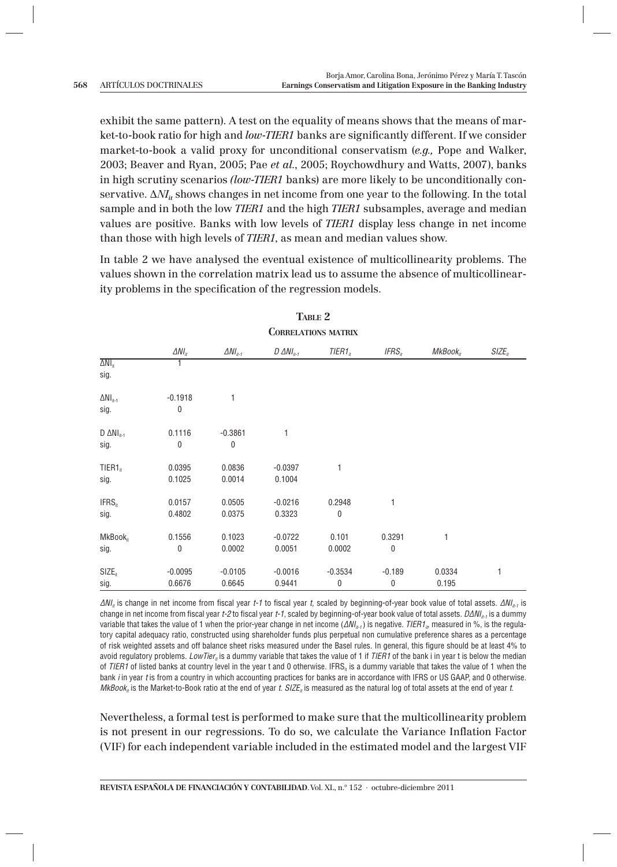exhibit the same pattern). A test on the equality of means shows that the means of market-to-book ratio for high and *low-TIER1* banks are significantly different. If we consider market-to-book a valid proxy for unconditional conservatism (*e.g.,* Pope and Walker, 2003; Beaver and Ryan, 2005; Pae *et al.*, 2005; Roychowdhury and Watts, 2007), banks in high scrutiny scenarios *(low-TIER1* banks) are more likely to be unconditionally conservative.  $\Delta N I_i$  shows changes in net income from one year to the following. In the total sample and in both the low *TIER1* and the high *TIER1* subsamples, average and median values are positive. Banks with low levels of *TIER1* display less change in net income than those with high levels of *TIER1*, as mean and median values show.

In table 2 we have analysed the eventual existence of multicollinearity problems. The values shown in the correlation matrix lead us to assume the absence of multicollinearity problems in the specification of the regression models.

|                             | <b>CORRELATIONS MATRIX</b> |                    |                          |             |                   |                      |             |
|-----------------------------|----------------------------|--------------------|--------------------------|-------------|-------------------|----------------------|-------------|
|                             | $\Delta NI_{it}$           | $\Delta NI_{it-1}$ | $D \triangle N I_{it-1}$ | $TIER1_{n}$ | IFRS <sub>n</sub> | MKBook <sub>it</sub> | $SIZE_{it}$ |
| $\overline{\Delta NI_{it}}$ | 1                          |                    |                          |             |                   |                      |             |
| sig.                        |                            |                    |                          |             |                   |                      |             |
| $\Delta NI_{it-1}$          | $-0.1918$                  | 1                  |                          |             |                   |                      |             |
| sig.                        | 0                          |                    |                          |             |                   |                      |             |
| $D \Delta NI_{it-1}$        | 0.1116                     | $-0.3861$          | 1                        |             |                   |                      |             |
| sig.                        | 0                          | 0                  |                          |             |                   |                      |             |
| TIER1 <sub>it</sub>         | 0.0395                     | 0.0836             | $-0.0397$                | 1           |                   |                      |             |
| sig.                        | 0.1025                     | 0.0014             | 0.1004                   |             |                   |                      |             |
| IFRS <sub>it</sub>          | 0.0157                     | 0.0505             | $-0.0216$                | 0.2948      | 1                 |                      |             |
| sig.                        | 0.4802                     | 0.0375             | 0.3323                   | 0           |                   |                      |             |
| MkBook <sub>it</sub>        | 0.1556                     | 0.1023             | $-0.0722$                | 0.101       | 0.3291            | 1                    |             |
| sig.                        | 0                          | 0.0002             | 0.0051                   | 0.0002      | 0                 |                      |             |
| $SIZE_{it}$                 | $-0.0095$                  | $-0.0105$          | $-0.0016$                | $-0.3534$   | $-0.189$          | 0.0334               | 1           |
| sig.                        | 0.6676                     | 0.6645             | 0.9441                   | 0           | 0                 | 0.195                |             |

# **TABLE 2**

 $\Delta N l_{ii}$  is change in net income from fiscal year t-1 to fiscal year t, scaled by beginning-of-year book value of total assets.  $\Delta N l_{ii}$ , is change in net income from fiscal year t-2 to fiscal year t-1, scaled by beginning-of-year book value of total assets.  $D\Delta N I_{n}$ , is a dummy variable that takes the value of 1 when the prior-year change in net income ( $\Delta NI_{n-1}$ ) is negative. TIER1<sub>in</sub> measured in %, is the regulatory capital adequacy ratio, constructed using shareholder funds plus perpetual non cumulative preference shares as a percentage of risk weighted assets and off balance sheet risks measured under the Basel rules. In general, this figure should be at least 4% to avoid regulatory problems. LowTier<sub>n</sub> is a dummy variable that takes the value of 1 if TIER1 of the bank i in year t is below the median of TIER1 of listed banks at country level in the year t and 0 otherwise. IFRS<sub>it</sub> is a dummy variable that takes the value of 1 when the bank *i* in year *t* is from a country in which accounting practices for banks are in accordance with IFRS or US GAAP, and 0 otherwise.  $MKBo0K_n$  is the Market-to-Book ratio at the end of year t. SIZE<sub>n</sub> is measured as the natural log of total assets at the end of year t.

Nevertheless, a formal test is performed to make sure that the multicollinearity problem is not present in our regressions. To do so, we calculate the Variance Inflation Factor (VIF) for each independent variable included in the estimated model and the largest VIF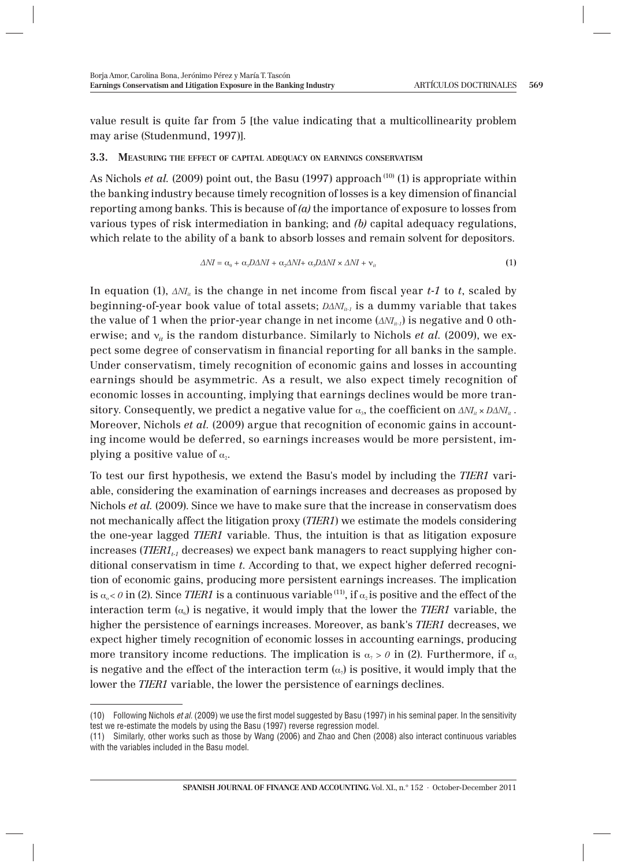value result is quite far from 5 [the value indicating that a multicollinearity problem may arise (Studenmund, 1997)].

#### **3.3. MEASURING THE EFFECT OF CAPITAL ADEQUACY ON EARNINGS CONSERVATISM**

As Nichols *et al.* (2009) point out, the Basu (1997) approach <sup>(10)</sup> (1) is appropriate within the banking industry because timely recognition of losses is a key dimension of financial reporting among banks. This is because of *(a)* the importance of exposure to losses from various types of risk intermediation in banking; and *(b)* capital adequacy regulations, which relate to the ability of a bank to absorb losses and remain solvent for depositors.

$$
\Delta NI = \alpha_0 + \alpha_1 D \Delta NI + \alpha_2 \Delta NI + \alpha_3 D \Delta NI \times \Delta NI + \mathbf{v}_u \tag{1}
$$

In equation (1),  $\Delta NI_{ii}$  is the change in net income from fiscal year *t-1* to *t*, scaled by beginning-of-year book value of total assets;  $D\Delta N I_{in}$  is a dummy variable that takes the value of 1 when the prior-year change in net income  $(\Delta M_{n,i})$  is negative and 0 otherwise; and  $v_{it}$  is the random disturbance. Similarly to Nichols *et al.* (2009), we expect some degree of conservatism in financial reporting for all banks in the sample. Under conservatism, timely recognition of economic gains and losses in accounting earnings should be asymmetric. As a result, we also expect timely recognition of economic losses in accounting, implying that earnings declines would be more transitory. Consequently, we predict a negative value for  $\alpha_{3}$ , the coefficient on  $\Delta NI_{ii} \times D\Delta NI_{ii}$ . Moreover, Nichols *et al.* (2009) argue that recognition of economic gains in accounting income would be deferred, so earnings increases would be more persistent, implying a positive value of  $\alpha$ .

To test our first hypothesis, we extend the Basu's model by including the *TIER1* variable, considering the examination of earnings increases and decreases as proposed by Nichols *et al.* (2009). Since we have to make sure that the increase in conservatism does not mechanically affect the litigation proxy (*TIER1*) we estimate the models considering the one-year lagged *TIER1* variable. Thus, the intuition is that as litigation exposure increases (*TIER1<sub>t1</sub>* decreases) we expect bank managers to react supplying higher conditional conservatism in time *t*. According to that, we expect higher deferred recognition of economic gains, producing more persistent earnings increases. The implication is  $\alpha_{0} < \theta$  in (2). Since *TIER1* is a continuous variable <sup>(11)</sup>, if  $\alpha_{0}$  is positive and the effect of the interaction term  $(\alpha_0)$  is negative, it would imply that the lower the *TIER1* variable, the higher the persistence of earnings increases. Moreover, as bank's *TIER1* decreases, we expect higher timely recognition of economic losses in accounting earnings, producing more transitory income reductions. The implication is  $\alpha_7 > 0$  in (2). Furthermore, if  $\alpha_3$ is negative and the effect of the interaction term  $(\alpha)$  is positive, it would imply that the lower the *TIER1* variable, the lower the persistence of earnings declines.

<sup>(10)</sup> Following Nichols et al. (2009) we use the first model suggested by Basu (1997) in his seminal paper. In the sensitivity test we re-estimate the models by using the Basu (1997) reverse regression model.

<sup>(11)</sup> Similarly, other works such as those by Wang (2006) and Zhao and Chen (2008) also interact continuous variables with the variables included in the Basu model.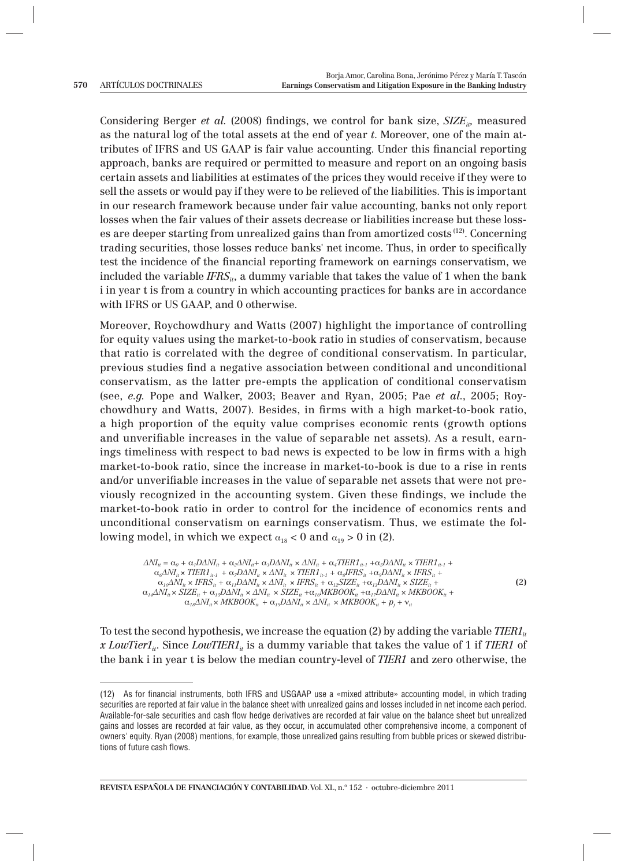Considering Berger *et al.* (2008) findings, we control for bank size, *SIZE<sub>ip</sub>* measured as the natural log of the total assets at the end of year *t*. Moreover, one of the main attributes of IFRS and US GAAP is fair value accounting. Under this financial reporting approach, banks are required or permitted to measure and report on an ongoing basis certain assets and liabilities at estimates of the prices they would receive if they were to sell the assets or would pay if they were to be relieved of the liabilities. This is important in our research framework because under fair value accounting, banks not only report losses when the fair values of their assets decrease or liabilities increase but these losses are deeper starting from unrealized gains than from amortized costs (12). Concerning trading securities, those losses reduce banks' net income. Thus, in order to specifically test the incidence of the financial reporting framework on earnings conservatism, we included the variable  $IFRS_{ii}$ , a dummy variable that takes the value of 1 when the bank i in year t is from a country in which accounting practices for banks are in accordance with IFRS or US GAAP, and 0 otherwise.

Moreover, Roychowdhury and Watts (2007) highlight the importance of controlling for equity values using the market-to-book ratio in studies of conservatism, because that ratio is correlated with the degree of conditional conservatism. In particular, previous studies find a negative association between conditional and unconditional conservatism, as the latter pre-empts the application of conditional conservatism (see, *e.g.* Pope and Walker, 2003; Beaver and Ryan, 2005; Pae *et al.*, 2005; Roychowdhury and Watts, 2007). Besides, in firms with a high market-to-book ratio, a high proportion of the equity value comprises economic rents (growth options and unverifiable increases in the value of separable net assets). As a result, earnings timeliness with respect to bad news is expected to be low in firms with a high market-to-book ratio, since the increase in market-to-book is due to a rise in rents and/or unverifiable increases in the value of separable net assets that were not previously recognized in the accounting system. Given these findings, we include the market-to-book ratio in order to control for the incidence of economics rents and unconditional conservatism on earnings conservatism. Thus, we estimate the following model, in which we expect  $\alpha_{18} < 0$  and  $\alpha_{19} > 0$  in (2).

```
\Delta N I_i = \alpha_0 + \alpha_1 D \Delta N I_i + \alpha_2 \Delta N I_i + \alpha_3 D \Delta N I_i \times \Delta N I_i + \alpha_4 T I E R I_{i+1} + \alpha_5 D \Delta N I_i \times T I E R I_{i+1}\alpha_6\Delta N I_{it} \times TIER1_{it-1} + \alpha_7 D\Delta N I_{it} \times \Delta N I_{it} \times TIER1_{it-1} + \alpha_8 IFRS_{it} + \alpha_9 D\Delta N I_{it} \times IFRS_{it}\alpha_{10}\Delta NI_{it} \times IFRS_{it} + \alpha_{11}D\Delta NI_{it} \times \Delta NI_{it} \times IFRS_{it} + \alpha_{12}SIZE_{it} + \alpha_{13}D\Delta NI_{it} \times SIZE_{it} +α14ΔNIit × SIZEit + α15DΔNIit × ΔNIit × SIZEit +α16MKBOOKit +α17DΔNIit × MKBOOKit +
           \alpha_{18}\Delta NI_{it} \times MKBOOK_{it} + \alpha_{19}D\Delta NI_{it} \times \Delta NI_{it} \times MKBOOK_{it} + p_j + v_i
```
**(**2**)**

To test the second hypothesis, we increase the equation (2) by adding the variable  $TIER1_{it}$ x *LowTier1<sub>ii</sub>*. Since *LowTIER1<sub>ii</sub>* is a dummy variable that takes the value of 1 if *TIER1* of the bank i in year t is below the median country-level of *TIER1* and zero otherwise, the

**REVISTA ESPAÑOLA DE FINANCIACIÓN Y CONTABILIDAD**. Vol. XL, n.º 152 · octubre-diciembre 2011

<sup>(12)</sup> As for financial instruments, both IFRS and USGAAP use a «mixed attribute» accounting model, in which trading securities are reported at fair value in the balance sheet with unrealized gains and losses included in net income each period. Available-for-sale securities and cash flow hedge derivatives are recorded at fair value on the balance sheet but unrealized gains and losses are recorded at fair value, as they occur, in accumulated other comprehensive income, a component of owners' equity. Ryan (2008) mentions, for example, those unrealized gains resulting from bubble prices or skewed distributions of future cash flows.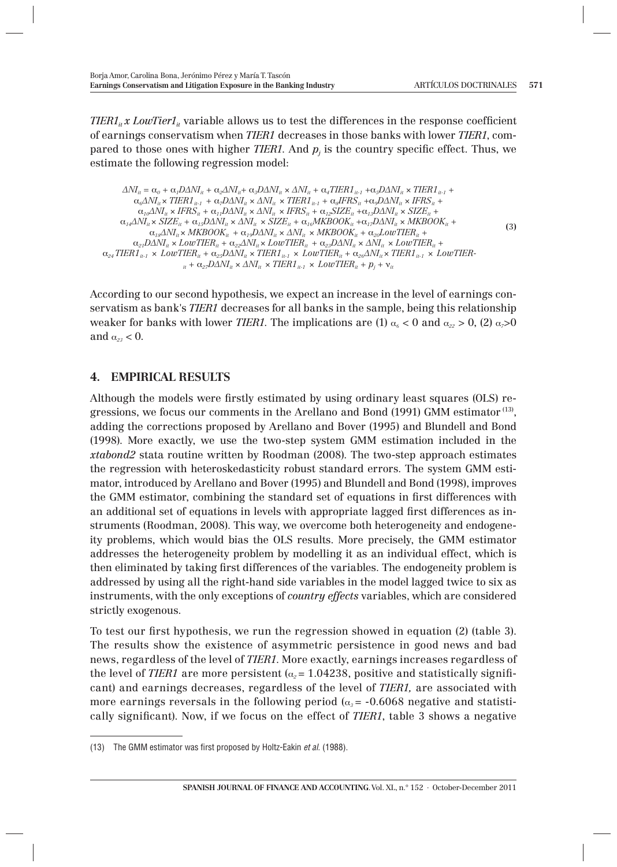*TIER1<sub>it</sub> x LowTier1<sub>it</sub>* variable allows us to test the differences in the response coefficient of earnings conservatism when *TIER1* decreases in those banks with lower *TIER1*, compared to those ones with higher *TIER1*. And  $p_j$  is the country specific effect. Thus, we estimate the following regression model:

 $\Delta NI_i = \alpha_0 + \alpha_1 D \Delta NI_{ii} + \alpha_2 \Delta NI_{ii} + \alpha_3 D \Delta NI_{ii} \times \Delta NI_{ii} + \alpha_4 TIER1_{ii \cdot 1} + \alpha_5 D \Delta NI_{ii} \times TIER1_{ii \cdot 1} +$  $\alpha_6\Delta N I_{it} \times TIER1_{it-1} + \alpha_7D\Delta N I_{it} \times \Delta N I_{it} \times TIER1_{it-1} + \alpha_8 IFRS_{it} + \alpha_9D\Delta N I_{it} \times IFRS_{it} + \alpha_9D\Delta N I_{it} \times IFRS_{it}$  $\alpha_{10}\Delta NI_{ii} \times IFRS_{ii} + \alpha_{11}D\Delta NI_{ii} \times \Delta NI_{ii} \times IFRS_{ii} + \alpha_{12}SIZE_{ii} + \alpha_{13}D\Delta NI_{ii} \times SIZE_{ii} +$  $\alpha_{14} \Delta N I_{ii} \times SIZE_{ii} + \alpha_{15} D \Delta N I_{ii} \times \Delta N I_{ii} \times SIZE_{ii} + \alpha_{16} MKBOOK_{ii} + \alpha_{17} D \Delta N I_{ii} \times MKBOOK_{ii} +$  $\alpha_{18} \Delta NI_{ii} \times MKBOOK_{ii} + \alpha_{19} D\Delta NI_{ii} \times \Delta NI_{ii} \times MKBOOK_{ii} + \alpha_{20} LowTIER_{ii} +$  $\alpha_{21}$ DΔNI<sub>it</sub> × LowTIER<sub>it</sub> +  $\alpha_{22}$ ΔNI<sub>it</sub> × LowTIER<sub>it</sub> +  $\alpha_{23}$ DΔNI<sub>it</sub> × ΔNI<sub>it</sub> × LowTIER<sub>it</sub> +  $\alpha_{24}$  TIER1<sub>it-1</sub>  $\times$  *LowTIER<sub>it</sub>* +  $\alpha_{25}$ D $\Delta N I_{ik}$   $\times$  TIER1<sub>it-1</sub>  $\times$  *LowTIER<sub>it</sub>* +  $\alpha_{26}$  $\Delta N I_{ik}$  $\times$  TIER1<sub>it-1</sub>  $\times$  *LowTIER*- $\alpha_{1}$  +  $\alpha_{27}$ DΔNI<sub>it</sub> ×  $\Delta$ NI<sub>it</sub> ×  $TIER1_{it-1}$  ×  $LowTIER_{it}$  +  $p_j$  +  $v_{it}$ **(**3**)**

According to our second hypothesis, we expect an increase in the level of earnings conservatism as bank's *TIER1* decreases for all banks in the sample, being this relationship weaker for banks with lower *TIER1*. The implications are (1)  $\alpha_6 < 0$  and  $\alpha_{22} > 0$ , (2)  $\alpha_7 > 0$ and  $\alpha_{23}$  < 0.

## **4. EMPIRICAL RESULTS**

Although the models were firstly estimated by using ordinary least squares (OLS) regressions, we focus our comments in the Arellano and Bond (1991) GMM estimator (13), adding the corrections proposed by Arellano and Bover (1995) and Blundell and Bond (1998). More exactly, we use the two-step system GMM estimation included in the *xtabond2* stata routine written by Roodman (2008). The two-step approach estimates the regression with heteroskedasticity robust standard errors. The system GMM estimator, introduced by Arellano and Bover (1995) and Blundell and Bond (1998), improves the GMM estimator, combining the standard set of equations in first differences with an additional set of equations in levels with appropriate lagged first differences as instruments (Roodman, 2008). This way, we overcome both heterogeneity and endogeneity problems, which would bias the OLS results. More precisely, the GMM estimator addresses the heterogeneity problem by modelling it as an individual effect, which is then eliminated by taking first differences of the variables. The endogeneity problem is addressed by using all the right-hand side variables in the model lagged twice to six as instruments, with the only exceptions of *country effects* variables, which are considered strictly exogenous.

To test our first hypothesis, we run the regression showed in equation (2) (table 3). The results show the existence of asymmetric persistence in good news and bad news, regardless of the level of *TIER1*. More exactly, earnings increases regardless of the level of *TIER1* are more persistent  $(a_2 = 1.04238$ , positive and statistically significant) and earnings decreases, regardless of the level of *TIER1,* are associated with more earnings reversals in the following period  $(\alpha_3 = -0.6068$  negative and statistically significant). Now, if we focus on the effect of *TIER1*, table 3 shows a negative

<sup>(13)</sup> The GMM estimator was first proposed by Holtz-Eakin et al. (1988).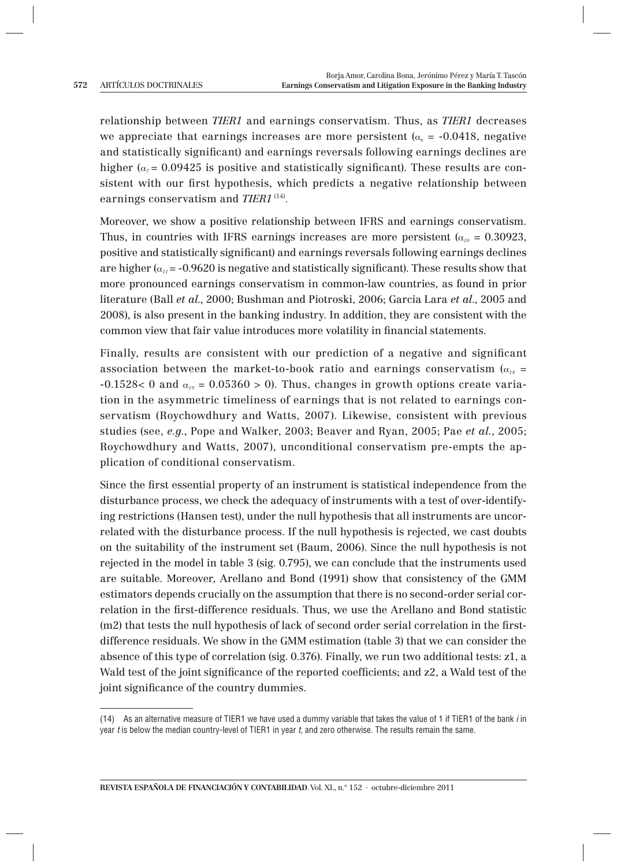relationship between *TIER1* and earnings conservatism. Thus, as *TIER1* decreases we appreciate that earnings increases are more persistent  $(a_6 = -0.0418)$ , negative and statistically significant) and earnings reversals following earnings declines are higher ( $\alpha$ <sub>7</sub> = 0.09425 is positive and statistically significant). These results are consistent with our first hypothesis, which predicts a negative relationship between earnings conservatism and *TIER1*<sup>(14)</sup>.

Moreover, we show a positive relationship between IFRS and earnings conservatism. Thus, in countries with IFRS earnings increases are more persistent ( $\alpha_{10} = 0.30923$ , positive and statistically significant) and earnings reversals following earnings declines are higher  $(\alpha_{ij} = -0.9620$  is negative and statistically significant). These results show that more pronounced earnings conservatism in common-law countries, as found in prior literature (Ball *et al.*, 2000; Bushman and Piotroski, 2006; Garcia Lara *et al*., 2005 and 2008), is also present in the banking industry. In addition, they are consistent with the common view that fair value introduces more volatility in financial statements.

Finally, results are consistent with our prediction of a negative and significant association between the market-to-book ratio and earnings conservatism ( $\alpha_{18}$  =  $-0.1528 < 0$  and  $\alpha_{19} = 0.05360 > 0$ ). Thus, changes in growth options create variation in the asymmetric timeliness of earnings that is not related to earnings conservatism (Roychowdhury and Watts, 2007). Likewise, consistent with previous studies (see, *e.g*., Pope and Walker, 2003; Beaver and Ryan, 2005; Pae *et al.*, 2005; Roychowdhury and Watts, 2007), unconditional conservatism pre-empts the application of conditional conservatism.

Since the first essential property of an instrument is statistical independence from the disturbance process, we check the adequacy of instruments with a test of over-identifying restrictions (Hansen test), under the null hypothesis that all instruments are uncorrelated with the disturbance process. If the null hypothesis is rejected, we cast doubts on the suitability of the instrument set (Baum, 2006). Since the null hypothesis is not rejected in the model in table 3 (sig. 0.795), we can conclude that the instruments used are suitable. Moreover, Arellano and Bond (1991) show that consistency of the GMM estimators depends crucially on the assumption that there is no second-order serial correlation in the first-difference residuals. Thus, we use the Arellano and Bond statistic (m2) that tests the null hypothesis of lack of second order serial correlation in the firstdifference residuals. We show in the GMM estimation (table 3) that we can consider the absence of this type of correlation (sig. 0.376). Finally, we run two additional tests: z1, a Wald test of the joint significance of the reported coefficients; and z2, a Wald test of the joint significance of the country dummies.

<sup>(14)</sup> As an alternative measure of TIER1 we have used a dummy variable that takes the value of 1 if TIER1 of the bank i in year t is below the median country-level of TIER1 in year t, and zero otherwise. The results remain the same.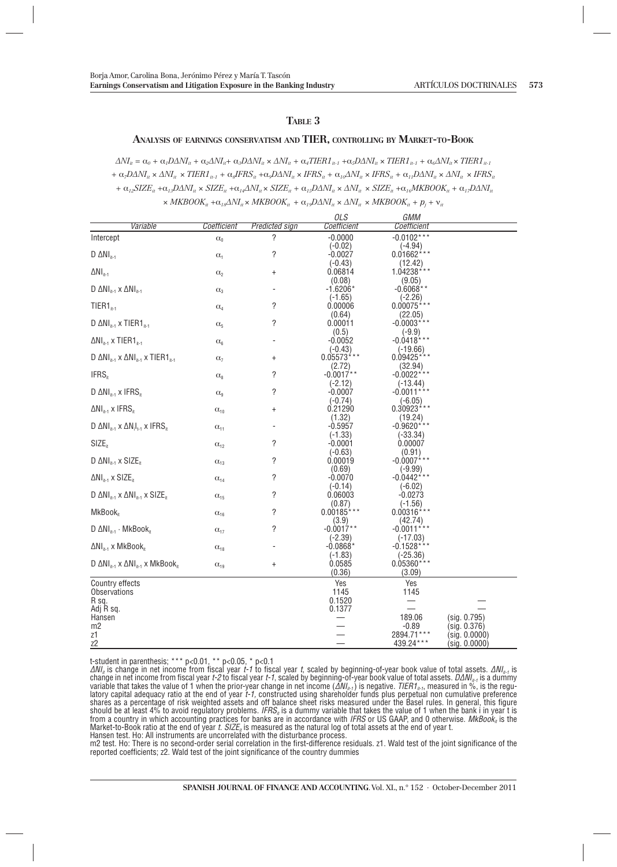#### **TABLE 3**

#### **ANALYSIS OF EARNINGS CONSERVATISM AND TIER, CONTROLLING BY MARKET-TO-BOOK**

 $\Delta N I_{ii} = \alpha_0 + \alpha_1 D \Delta N I_{ii} + \alpha_2 \Delta N I_{ii} + \alpha_3 D \Delta N I_{ii} \times \Delta N I_{ii} + \alpha_4 T I E R I_{ii-1} + \alpha_5 D \Delta N I_{ii} \times T I E R I_{ii-1} + \alpha_6 \Delta N I_{ii} \times T I E R I_{ii-1}$  $+ \alpha_z D\Delta NI_{ii} \times \Delta NI_{ii} + \alpha_z IFRI_{ii,t} + \alpha_z IFRS_{ii} + \alpha_z D\Delta NI_{ii} \times IFRS_{ii} + \alpha_{ij}\Delta NI_{ii} \times IFRS_{ii} + \alpha_{ij}D\Delta NI_{ii} \times \Delta NI_{ii} \times IFRS_{ii}$  $+ \alpha_{12} SLZ_{ii} + \alpha_{13} D\Delta NI_{ii} \times SLZ_{ii} + \alpha_{14} \Delta NI_{ii} \times SLZ_{ii} + \alpha_{15} D\Delta NI_{ii} \times \Delta NI_{ii} \times SLZ_{ii} + \alpha_{16} MKBOOK_{ii} + \alpha_{17} D\Delta NI_{ii}$  $\times$  *MKBOOK<sub>it</sub>* + $\alpha_{18}$ ΔNI<sub>it</sub>  $\times$  *MKBOOK*<sub>it</sub> +  $\alpha_{19}$ DΔNI<sub>it</sub>  $\times$  ΔNI<sub>it</sub>  $\times$  *MKBOOK*<sub>it</sub> +  $p_j$  +  $v_i$ 

|                                                                         |                                   |                       | OLS                  | GMM                      |               |
|-------------------------------------------------------------------------|-----------------------------------|-----------------------|----------------------|--------------------------|---------------|
| Variable                                                                | Coefficient                       | <b>Predicted sign</b> | Coefficient          | Coefficient              |               |
| Intercept                                                               | $\alpha_0$                        | ?                     | $-0.0000$            | $-0.0102***$             |               |
|                                                                         |                                   |                       | $(-0.02)$            | $(-4.94)$                |               |
| $D \Delta NI_{it-1}$                                                    | $\alpha_1$                        | ?                     | $-0.0027$            | $0.01662***$             |               |
|                                                                         |                                   |                       | $(-0.43)$            | (12.42)                  |               |
| $\Delta NI_{it-1}$                                                      | $\alpha_2$                        | $\ddot{}$             | 0.06814              | 1.04238***               |               |
|                                                                         |                                   |                       | (0.08)               | (9.05)                   |               |
| $D \Delta NI_{i+1} \times \Delta NI_{i+1}$                              | $\alpha_3$                        |                       | $-1.6206*$           | $-0.6068**$              |               |
|                                                                         |                                   |                       | $(-1.65)$            | $(-2.26)$                |               |
| $TIER1_{i+1}$                                                           | $\alpha$ <sub>4</sub>             | ?                     | 0.00006              | $0.00075***$             |               |
|                                                                         |                                   |                       | (0.64)               | (22.05)                  |               |
| D $\Delta NI_{n-1}$ x TIER1 $_{n-1}$                                    | $\alpha_{5}$                      | ?                     | 0.00011              | $-0.0003***$             |               |
|                                                                         |                                   |                       | (0.5)                | $(-9.9)$                 |               |
| $\Delta \text{NI}_{\text{int}}$ x TIER1 $_{\text{int}}$                 | $\alpha_6$                        |                       | $-0.0052$            | $-0.0418***$             |               |
|                                                                         |                                   |                       | $(-0.43)$            | $(-19.66)$               |               |
| D $\Delta NI_{n-1} \times \Delta NI_{n-1} \times TIER1_{n-1}$           | $\alpha$ <sub>7</sub>             | $\ddot{}$             | $0.05573$ ***        | $0.09425***$             |               |
|                                                                         |                                   |                       | (2.72)               | (32.94)                  |               |
| IFRS <sub>it</sub>                                                      | $\alpha_{8}$                      | ?                     | $-0.0017**$          | $-0.0022***$             |               |
|                                                                         |                                   |                       | (-2.12)              | $(-13.44)$               |               |
| D $\Delta NI_{i_{1}}$ x IFRS <sub>it</sub>                              | $\alpha_{9}$                      | ?                     | $-0.0007$            | $-0.0011***$             |               |
|                                                                         |                                   |                       | $(-0.74)$<br>0.21290 | $(-6.05)$<br>0.30923 *** |               |
| $\Delta NI_{i+1} \times IFRS_{i}$                                       | $\alpha_{10}$                     | $\ddot{}$             | (1.32)               | (19.24)                  |               |
| D $\Delta NI_{i_{t-1}} \times \Delta N_i I_{i_{t-1}} \times IFRS_{i_t}$ |                                   |                       | $-0.5957$            | $-0.9620***$             |               |
|                                                                         | $\alpha_{11}$                     |                       | $(-1.33)$            | $(-33.34)$               |               |
| $SIZE_{it}$                                                             | $\alpha_{12}$                     | ?                     | $-0.0001$            | 0.00007                  |               |
|                                                                         |                                   |                       | $(-0.63)$            | (0.91)                   |               |
| D $\Delta NI_{it-1} \times SIZE_{it}$                                   | $\alpha_{13}$                     | ?                     | 0.00019              | $-0.0007$ ***            |               |
|                                                                         |                                   |                       | (0.69)               | $(-9.99)$                |               |
| $\Delta NI_{it-1} \times SIZE_{it}$                                     | $\alpha_{14}$                     | ?                     | $-0.0070$            | $-0.0442***$             |               |
|                                                                         |                                   |                       | $(-0.14)$            | $(-6.02)$                |               |
| D $\Delta NI_{it-1} \times \Delta NI_{it-1} \times SIZE_{it}$           | $\alpha_{15}$                     | ?                     | 0.06003              | $-0.0273$                |               |
|                                                                         |                                   |                       | (0.87)               | $(-1.56)$                |               |
| MkBook <sub>it</sub>                                                    | $\alpha_{16}$                     | ?                     | $0.00185***$         | $0.00316***$             |               |
|                                                                         |                                   |                       | (3.9)                | (42.74)                  |               |
| $D \Delta NI_{i+1} \cdot MkBook_{i}$                                    | $\alpha_{\scriptscriptstyle 17}$  | ?                     | $-0.0017**$          | $-0.0011***$             |               |
|                                                                         |                                   |                       | $(-2.39)$            | $(-17.03)$               |               |
| $\Delta \text{NI}_{i+1}$ x MkBook <sub>it</sub>                         | $\alpha_{18}$                     |                       | $-0.0868*$           | $-0.1528***$             |               |
|                                                                         |                                   |                       | $(-1.83)$            | $(-25.36)$               |               |
| D $\Delta NI_{n-1} \times \Delta NI_{n-1} \times MkBook_n$              | $\alpha_{\scriptscriptstyle{19}}$ | $\ddot{}$             | 0.0585               | $0.05360***$             |               |
|                                                                         |                                   |                       | (0.36)               | (3.09)                   |               |
| Country effects                                                         |                                   |                       | Yes                  | Yes                      |               |
| Observations                                                            |                                   |                       | 1145                 | 1145                     |               |
| R sq.                                                                   |                                   |                       | 0.1520               |                          |               |
| Adj R sq.                                                               |                                   |                       | 0.1377               |                          |               |
| Hansen                                                                  |                                   |                       |                      | 189.06                   | (sig. 0.795)  |
| m2                                                                      |                                   |                       |                      | $-0.89$                  | (sig. 0.376)  |
| z1                                                                      |                                   |                       |                      | 2894.71***               | (sig. 0.0000) |
| z <sub>2</sub>                                                          |                                   |                       |                      | 439.24 ***               | (sig. 0.0000) |

t-student in parenthesis; \*\*\* p<0.01, \*\* p<0.05, \* p<0.1

 $\Delta N l_n$  is change in net income from fiscal year t-1 to fiscal year t, scaled by beginning-of-year book value of total assets.  $\Delta N l_{n-r}$  is change in net income from fiscal year t-2 to fiscal year t-1, scaled by beginnin from a country in which accounting practices for banks are in accordance with IFRS or US GAAP, and 0 otherwise.  $MKBook<sub>n</sub>$  is the Market-to-Book ratio at the end of year t. SIZE<sub>n</sub> is measured as the natural log of total assets at the end of year t.

Hansen test. Ho: All instruments are uncorrelated with the disturbance process.

m2 test. Ho: There is no second-order serial correlation in the first-difference residuals. z1. Wald test of the joint significance of the reported coefficients; z2. Wald test of the joint significance of the country dummies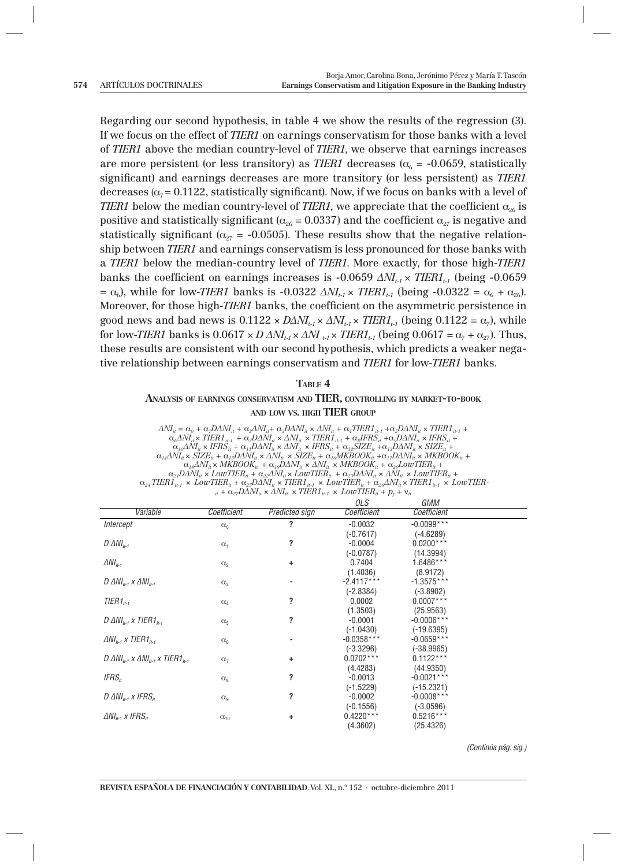Regarding our second hypothesis, in table 4 we show the results of the regression (3). If we focus on the effect of *TIER1* on earnings conservatism for those banks with a level of *TIER1* above the median country-level of *TIER1*, we observe that earnings increases are more persistent (or less transitory) as *TIER1* decreases ( $\alpha_{6} = -0.0659$ , statistically significant) and earnings decreases are more transitory (or less persistent) as *TIER1* decreases  $(\alpha_7 = 0.1122$ , statistically significant). Now, if we focus on banks with a level of *TIER1* below the median country-level of *TIER1*, we appreciate that the coefficient  $\alpha_{26}$  is positive and statistically significant ( $\alpha_{26} = 0.0337$ ) and the coefficient  $\alpha_{27}$  is negative and statistically significant ( $\alpha_{27}$  = -0.0505). These results show that the negative relationship between *TIER1* and earnings conservatism is less pronounced for those banks with a *TIER1* below the median-country level of *TIER1*. More exactly, for those high-*TIER1* banks the coefficient on earnings increases is -0.0659  $\Delta N_{t_1} \times TIER_{t_1}$  (being -0.0659  $= \alpha_6$ ), while for low-*TIER1* banks is -0.0322  $\Delta N I_{t-1} \times T I E R I_{t-1}$  (being -0.0322 =  $\alpha_6 + \alpha_{26}$ ). Moreover, for those high-*TIER1* banks, the coefficient on the asymmetric persistence in good news and bad news is  $0.1122 \times D\Delta NI_{t-1} \times \Delta NI_{t-1} \times TIER1_{t-1}$  (being  $0.1122 = \alpha_7$ ), while for low-*TIER1* banks is  $0.0617 \times D \Delta N I_{t-1} \times \Delta N I_{t-1} \times T I E R I_{t-1}$  (being  $0.0617 = \alpha_7 + \alpha_{27}$ ). Thus, these results are consistent with our second hypothesis, which predicts a weaker negative relationship between earnings conservatism and *TIER1* for low-*TIER1* banks.

**TABLE 4** 

#### **ANALYSIS OF EARNINGS CONSERVATISM AND TIER, CONTROLLING BY MARKET-TO-BOOK AND LOW VS. HIGH TIER GROUP**

 $\begin{array}{l} \Delta N I_{it}=\alpha_o+\alpha_r D\Delta N I_{it}+\alpha_s \Delta N I_{it}+\alpha_s D\Delta N I_{it} \star \Delta N I_{it}+\alpha_s TIER1_{it-1}+\alpha_s D\Delta N I_{it} \times TIER1_{it-1}\\ \alpha_s \Delta N I_{it} \times TIER1_{it-1}+\alpha_r D\Delta N I_{it} \times \Delta N I_{it} \times TIER1_{it-1}+\alpha_s IFRS_{it}+\alpha_s D\Delta N I_{it} \times IFRS_{it}+ \end{array}$  $\alpha_{1\rho}\Delta N I_u\times IFRS_u+\alpha_{1\rho}D\Delta N I_u\times \Delta N I_u\times IFRS_u+\alpha_{1\rho}SIZE_u+\alpha_{1\delta}D\Delta N I_u\times SIZE_u+\alpha_{1\delta}N A \Delta N I_u\times SIZE_u+\alpha_{1\delta}N A \Delta N I_u\times SIZE_u+\alpha_{1\delta}N A \Delta N I_u\times \Delta N I_u\times \Delta N I_u\times \Delta N I_u\times \Delta N I_u\times \Delta N I_u\times \Delta N I_u\times \Delta N I_u\times \Delta N I_u\times \Delta N I_u\times \Delta N I_u\times \Delta N I_u\times \Delta N I_u\times \Delta N I_u\times$  $\alpha_{1}$  +  $\alpha_{27}$ DΔNI<sub>it</sub> ×  $\Delta$ NI<sub>it</sub> × TIER1<sub>it-1</sub> × LowTIER<sub>it</sub> +  $p_j$  +  $v_j$ 

|                                                                  |                             |                       | OLS          | GMM           |  |
|------------------------------------------------------------------|-----------------------------|-----------------------|--------------|---------------|--|
| Variable                                                         | Coefficient                 | <b>Predicted sign</b> | Coefficient  | Coefficient   |  |
| Intercept                                                        | $\alpha_0$                  | ?                     | $-0.0032$    | $-0.0099***$  |  |
|                                                                  |                             |                       | $(-0.7617)$  | $(-4.6289)$   |  |
| $D \triangle N I_{i+1}$                                          | $\alpha_1$                  | ?                     | $-0.0004$    | $0.0200***$   |  |
|                                                                  |                             |                       | $(-0.0787)$  | (14.3994)     |  |
| $\Delta NI_{n-1}$                                                | $\alpha_2$                  | ÷                     | 0.7404       | 1.6486***     |  |
|                                                                  |                             |                       | (1.4036)     | (8.9172)      |  |
| D $\Delta NI_{it-1} \times \Delta NI_{it-1}$                     | $\alpha_3$                  |                       | $-2.4117***$ | $-1.3575***$  |  |
|                                                                  |                             |                       | $(-2.8384)$  | $(-3.8902)$   |  |
| $TIER1_{i+1}$                                                    | $\mathbf{C}\mathbf{\ell}_4$ | ?                     | 0.0002       | $0.0007***$   |  |
|                                                                  |                             |                       | (1.3503)     | (25.9563)     |  |
| D $\Delta NI_{n+1}$ x TIER1 <sub>n-1</sub>                       | $\alpha_{5}$                | ?                     | $-0.0001$    | $-0.0006$ *** |  |
|                                                                  |                             |                       | $(-1.0430)$  | $(-19.6395)$  |  |
| $\Delta NI_{n-1}$ x TIER1 <sub>11-1</sub>                        | $\alpha_{6}$                |                       | $-0.0358***$ | $-0.0659***$  |  |
|                                                                  |                             |                       | $(-3.3296)$  | $(-38.9965)$  |  |
| D $\Delta N I_{n-1}$ x $\Delta N I_{n-1}$ x TIER1 <sub>n-1</sub> | $\alpha$ <sub>7</sub>       | ÷                     | $0.0702***$  | $0.1122***$   |  |
|                                                                  |                             |                       | (4.4283)     | (44.9350)     |  |
| $IFRS_{it}$                                                      | $\alpha_{8}$                | ?                     | $-0.0013$    | $-0.0021***$  |  |
|                                                                  |                             |                       | $(-1.5229)$  | $(-15.2321)$  |  |
| D $\Delta NI_{it-1}$ x IFRS <sub>it</sub>                        | $\alpha_{9}$                | ?                     | $-0.0002$    | $-0.0008***$  |  |
|                                                                  |                             |                       | $(-0.1556)$  | $(-3.0596)$   |  |
| $\Delta NI_{n-1}$ x IFRS <sub>n</sub>                            | $\alpha_{10}$               | ÷                     | $0.4220***$  | $0.5216***$   |  |
|                                                                  |                             |                       | (4.3602)     | (25.4326)     |  |

(Continúa pág. sig.)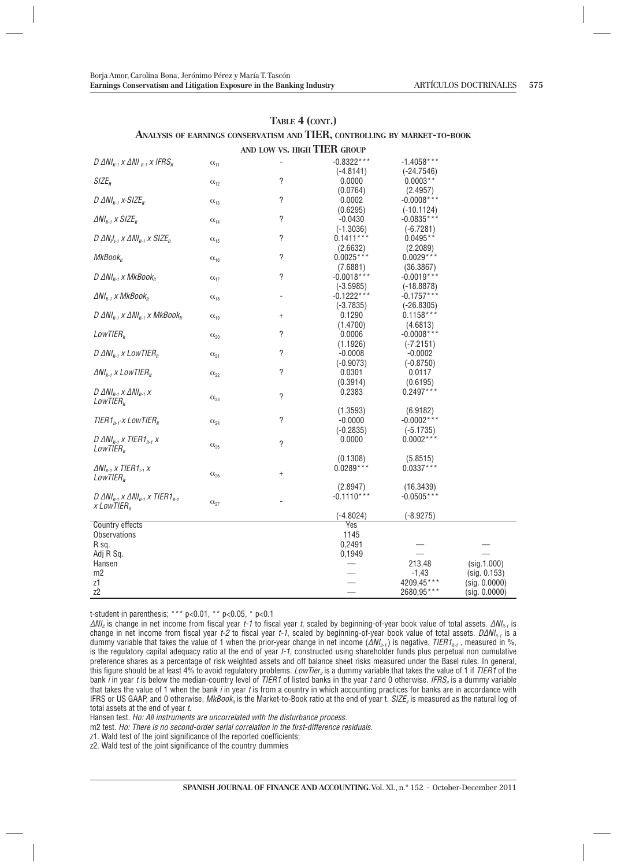#### **ANALYSIS OF EARNINGS CONSERVATISM AND TIER, CONTROLLING BY MARKET-TO-BOOK AND LOW VS. HIGH TIER GROUP**

|                                                                  |               | AND LOW V3. HIGH THEIL GROUP |                |               |               |
|------------------------------------------------------------------|---------------|------------------------------|----------------|---------------|---------------|
| D $\Delta NI_{h-1}$ x $\Delta NI_{h-1}$ x IFRS <sub>h</sub>      | $\alpha_{11}$ |                              | $-0.8322***$   | $-1.4058***$  |               |
|                                                                  |               |                              | $(-4.8141)$    | $(-24.7546)$  |               |
| SIZE <sub>it</sub>                                               | $\alpha_{12}$ | ?                            | 0.0000         | $0.0003**$    |               |
|                                                                  |               |                              | (0.0764)       | (2.4957)      |               |
| D $\Delta NI_{i+1}$ x $\cdot$ SIZE <sub>it</sub>                 | $\alpha_{13}$ | ?                            | 0.0002         | $-0.0008***$  |               |
|                                                                  |               |                              | (0.6295)       | $(-10.1124)$  |               |
| $\Delta NI_{n-1}$ x SIZE <sub>it</sub>                           | $C_{14}$      | ?                            | $-0.0430$      | $-0.0835***$  |               |
|                                                                  |               |                              | $(-1.3036)$    | $(-6.7281)$   |               |
| D $\Delta N_i I_{i+1}$ x $\Delta N I_{i+1}$ x SIZE <sub>it</sub> | $\alpha_{15}$ | ?                            | $0.1411***$    | $0.0495**$    |               |
|                                                                  |               |                              | (2.6632)       | (2.2089)      |               |
| MkBook <sub>tr</sub>                                             | $\alpha_{16}$ | ?                            | $0.0025***$    | $0.0029***$   |               |
|                                                                  |               |                              | (7.6881)       | (36.3867)     |               |
| $D \Delta NI_{i+1}$ x MkBook <sub>it</sub>                       | $\alpha_{17}$ | ?                            | $-0.0018***$   | $-0.0019***$  |               |
|                                                                  |               |                              | $(-3.5985)$    | $(-18.8878)$  |               |
| $\Delta NI_{n-1}$ x MkBook <sub>it</sub>                         | $\alpha_{18}$ |                              | $-0.1222***$   | $-0.1757***$  |               |
|                                                                  |               |                              | $(-3.7835)$    | $(-26.8305)$  |               |
| $D \Delta N I_{n-1} \times \Delta N I_{n-1} \times MkBook_n$     | $\alpha_{19}$ | $\ddot{}$                    | 0.1290         | $0.1158***$   |               |
|                                                                  |               |                              | (1.4700)       | (4.6813)      |               |
| LowTIER <sub>ir</sub>                                            | $\alpha_{20}$ | ?                            | 0.0006         | $-0.0008$ *** |               |
|                                                                  |               |                              | (1.1926)       | $(-7.2151)$   |               |
| D $\Delta NI_{i+1}$ x LowTIER <sub>it</sub>                      | $\alpha_{21}$ | ?                            | $-0.0008$      | $-0.0002$     |               |
|                                                                  |               |                              | $(-0.9073)$    | $(-0.8750)$   |               |
| $\Delta NI_{n-1}$ x LowTIER <sub>n</sub>                         | $C_{22}$      | ?                            | 0.0301         | 0.0117        |               |
|                                                                  |               |                              | (0.3914)       | (0.6195)      |               |
| D $\Delta NI_{t-1}$ x $\Delta NI_{t-1}$ x                        |               | ?                            | 0.2383         | $0.2497***$   |               |
| LowTIER <sub>tr</sub>                                            | $\alpha_{23}$ |                              |                |               |               |
|                                                                  |               |                              | (1.3593)       | (6.9182)      |               |
| TIER1 <sub>it-1</sub> -x LowTIER <sub>it</sub>                   | $C_{24}$      | ?                            | $-0.0000$      | $-0.0002***$  |               |
|                                                                  |               |                              | $(-0.2835)$    | $(-5.1735)$   |               |
| D $\Delta NI_{i+1}$ x TIER1 <sub>it-1</sub> x                    | $C_{25}$      | ?                            | 0.0000         | $0.0002***$   |               |
| LowTIER <sub>ir</sub>                                            |               |                              |                |               |               |
|                                                                  |               |                              | (0.1308)       | (5.8515)      |               |
| $\Delta NI_{n-1}$ x TIER1 <sub>1-1</sub> x                       | $\alpha_{26}$ | $\ddot{}$                    | $0.0289***$    | $0.0337***$   |               |
| LowTIER <sub>II</sub>                                            |               |                              |                |               |               |
|                                                                  |               |                              | (2.8947)       | (16.3439)     |               |
| D $\Delta N I_{h-1}$ x $\Delta N I_{h-1}$ x TIER1 <sub>h-1</sub> | $\alpha_{27}$ |                              | $-0.1110***$   | $-0.0505***$  |               |
| x LowTIER $_{it}$                                                |               |                              |                |               |               |
|                                                                  |               |                              | $(-4.8024)$    | $(-8.9275)$   |               |
| Country effects                                                  |               |                              | Yes            |               |               |
| Observations                                                     |               |                              | 1145<br>0,2491 |               |               |
| R sq.<br>Adj R Sq.                                               |               |                              | 0,1949         |               |               |
| Hansen                                                           |               |                              |                | 213,48        | (sig.1.000)   |
| m2                                                               |               |                              |                | $-1,43$       | (sig. 0.153)  |
| z1                                                               |               |                              |                | 4209,45***    | (sig. 0.0000) |
| Z <sub>2</sub>                                                   |               |                              |                | 2680,95***    | (sig. 0.0000) |
|                                                                  |               |                              |                |               |               |

t-student in parenthesis; \*\*\*  $p<0.01$ , \*\*  $p<0.05$ , \*  $p<0.1$ 

 $\Delta M_{li}$  is change in net income from fiscal year t-1 to fiscal year t, scaled by beginning-of-year book value of total assets.  $\Delta M_{li}$  is change in net income from fiscal year t-2 to fiscal year t-1, scaled by beginning-of-year book value of total assets.  $D\Delta N$ <sub>It-1</sub> is a dummy variable that takes the value of 1 when the prior-year change in net income ( $\Delta N_{l+1}$ ) is negative. TIER1<sub>it-1</sub>, measured in %, is the regulatory capital adequacy ratio at the end of year t-1, constructed using shareholder funds plus perpetual non cumulative preference shares as a percentage of risk weighted assets and off balance sheet risks measured under the Basel rules. In general, this figure should be at least 4% to avoid regulatory problems. LowTier<sub>n</sub> is a dummy variable that takes the value of 1 if TIER1 of the bank *i* in year *t* is below the median-country level of TIER1 of listed banks in the year t and 0 otherwise. IFRS<sub>it</sub> is a dummy variable that takes the value of 1 when the bank i in year t is from a country in which accounting practices for banks are in accordance with IFRS or US GAAP, and 0 otherwise.  $MkBook_n$  is the Market-to-Book ratio at the end of year t.  $SIZE_n$  is measured as the natural log of total assets at the end of year t.

Hansen test. Ho: All instruments are uncorrelated with the disturbance process.

m2 test. Ho: There is no second-order serial correlation in the first-difference residuals.

z1. Wald test of the joint significance of the reported coefficients;

z2. Wald test of the joint significance of the country dummies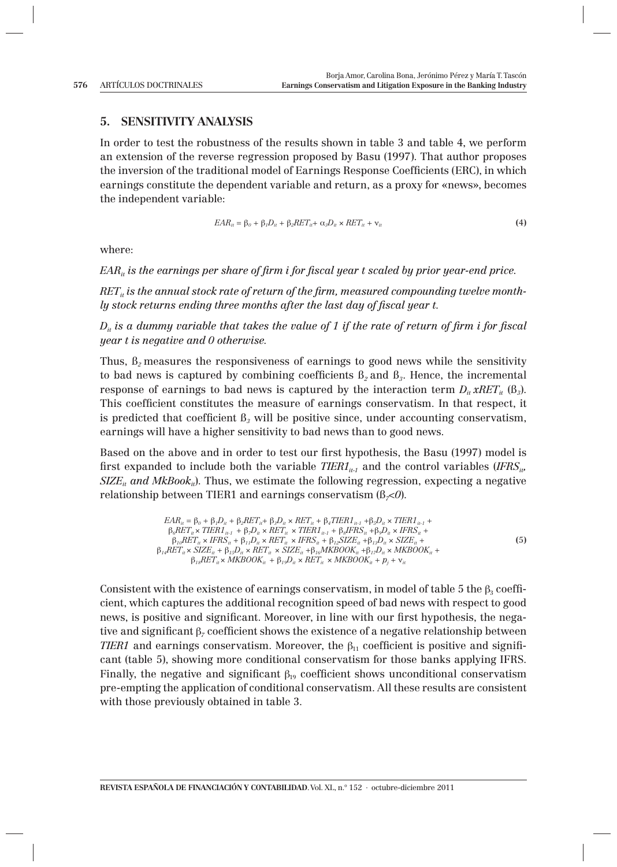## **5. SENSITIVITY ANALYSIS**

In order to test the robustness of the results shown in table 3 and table 4, we perform an extension of the reverse regression proposed by Basu (1997). That author proposes the inversion of the traditional model of Earnings Response Coefficients (ERC), in which earnings constitute the dependent variable and return, as a proxy for «news», becomes the independent variable:

$$
EAR_{it} = \beta_o + \beta_t D_{it} + \beta_2 RET_{it} + \alpha_3 D_{it} \times RET_{it} + \mathbf{v}_{it}
$$
\n
$$
\tag{4}
$$

where:

*EAR<sub>it</sub>* is the earnings per share of firm i for fiscal year t scaled by prior year-end price.

RET<sub>it</sub> is the annual stock rate of return of the firm, measured compounding twelve month*ly stock returns ending three months after the last day of fiscal year t.* 

 $D_{ij}$  is a dummy variable that takes the value of 1 if the rate of return of firm i for fiscal *year t is negative and 0 otherwise.* 

Thus, ß*2* measures the responsiveness of earnings to good news while the sensitivity to bad news is captured by combining coefficients  $\beta_2$  and  $\beta_3$ . Hence, the incremental response of earnings to bad news is captured by the interaction term  $D_{ii} xRET_{ii}$  ( $B_3$ ). This coefficient constitutes the measure of earnings conservatism. In that respect, it is predicted that coefficient  $B_3$  will be positive since, under accounting conservatism, earnings will have a higher sensitivity to bad news than to good news.

Based on the above and in order to test our first hypothesis, the Basu (1997) model is first expanded to include both the variable  $TIER_{i}$  and the control variables  $(IFRS_{i}$ ,  $SIZE_{it}$  and  $MkBook_{it}$ ). Thus, we estimate the following regression, expecting a negative relationship between TIER1 and earnings conservatism  $(\beta \prec 0)$ .

$$
EAR_u = \beta_o + \beta_1 D_u + \beta_2 RET_u + \beta_3 D_u \times RET_u + \beta_4TIER1_{u \cdot 1} + \beta_5 D_u \times TIER1_{u \cdot 1} + \beta_6RET_u \times TIER1_{u \cdot 1} + \beta_7 D_u \times RET_u \times TIER1_u \times TIER1_u \times TIER1_{u \cdot 1} + \beta_8IFRS_u + \beta_9 D_u \times IFRS_u + \beta_1 P_EX_H \times IFRS_u + \beta_1 P_EX_H \times IFRS_u + \beta_1 P_EX_H + \beta_1 SPLu \times SIZE_u + \beta_1 SPLu \times RET_u \times SIZE_u + \beta_1 SPLu \times RET_u \times SIZE_u + \beta_1 SPLu \times RET_u \times MKBOOK_u + \beta_1 P_EX_H + \gamma_u
$$
\n
$$
\beta_{18}RET_u \times MKBOOK_u + \beta_{19} D_u \times RET_u \times MKBOOK_u + \beta_1 P_EX_H + \gamma_u
$$
\n(5)

Consistent with the existence of earnings conservatism, in model of table 5 the  $\beta_3$  coefficient, which captures the additional recognition speed of bad news with respect to good news, is positive and significant. Moreover, in line with our first hypothesis, the negative and significant  $\beta$ <sub>*7*</sub> coefficient shows the existence of a negative relationship between *TIER1* and earnings conservatism. Moreover, the  $\beta_{11}$  coefficient is positive and significant (table 5), showing more conditional conservatism for those banks applying IFRS. Finally, the negative and significant  $\beta_{19}$  coefficient shows unconditional conservatism pre-empting the application of conditional conservatism. All these results are consistent with those previously obtained in table 3.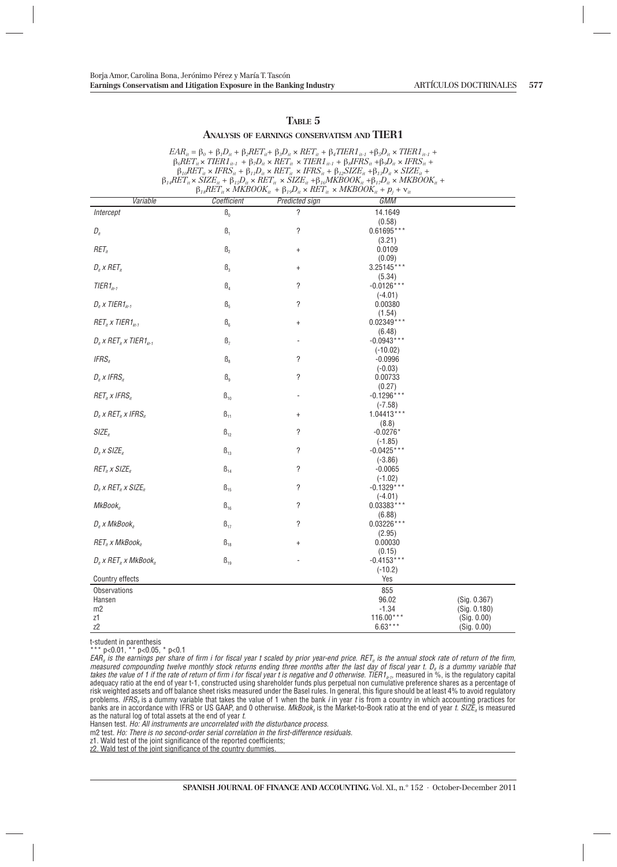#### **TABLE 5**

#### **ANALYSIS OF EARNINGS CONSERVATISM AND TIER1**

|                                                  |                | $\beta_{18}RET_u \times MKBOOK_{it} + \beta_{19}D_u \times RET_{it} \times MKBOOK_{it} + p_j + v_{it}$ | $EAR_{it} = \beta_0 + \beta_1 D_{it} + \beta_2 RET_{it} + \beta_3 D_{it} \times RET_{it} + \beta_4 TIER1_{it-1} + \beta_5 D_{it} \times TIER1_{it-1} +$<br>$\beta_6 RET_u \times TIER1_{u\text{-}1} + \beta_7 D_u \times RET_u \times TIER1_{u\text{-}1} + \beta_8 IFRS_u + \beta_9 D_u \times IFRS_u +$<br>$\beta_{10}RET_u \times IFRS_u + \beta_{11}D_u \times RET_u \times IFRS_u + \beta_{12} SIZE_u + \beta_{13}D_u \times SIZE_u +$<br>$\beta_{14}RET_{it} \times SIZE_{it} + \beta_{15}D_{it} \times RET_{it} \times SIZE_{it} + \beta_{16}MKBOOK_{it} + \beta_{17}D_{it} \times MKBOOK_{it} +$ |              |
|--------------------------------------------------|----------------|--------------------------------------------------------------------------------------------------------|---------------------------------------------------------------------------------------------------------------------------------------------------------------------------------------------------------------------------------------------------------------------------------------------------------------------------------------------------------------------------------------------------------------------------------------------------------------------------------------------------------------------------------------------------------------------------------------------------------|--------------|
| Variable                                         | Coefficient    | <b>Predicted sign</b>                                                                                  | GMM                                                                                                                                                                                                                                                                                                                                                                                                                                                                                                                                                                                                     |              |
| Intercept                                        | B <sub>0</sub> | ?                                                                                                      | 14.1649                                                                                                                                                                                                                                                                                                                                                                                                                                                                                                                                                                                                 |              |
|                                                  |                |                                                                                                        | (0.58)                                                                                                                                                                                                                                                                                                                                                                                                                                                                                                                                                                                                  |              |
| $D_{it}$                                         | $\beta_1$      | ?                                                                                                      | $0.61695***$                                                                                                                                                                                                                                                                                                                                                                                                                                                                                                                                                                                            |              |
|                                                  |                |                                                                                                        | (3.21)                                                                                                                                                                                                                                                                                                                                                                                                                                                                                                                                                                                                  |              |
| $RET_{it}$                                       | $\beta_{2}$    | $\ddot{}$                                                                                              | 0.0109<br>(0.09)                                                                                                                                                                                                                                                                                                                                                                                                                                                                                                                                                                                        |              |
| $D_i$ x RET <sub>it</sub>                        | B <sub>3</sub> | $\ddot{}$                                                                                              | 3.25145***                                                                                                                                                                                                                                                                                                                                                                                                                                                                                                                                                                                              |              |
|                                                  |                |                                                                                                        | (5.34)                                                                                                                                                                                                                                                                                                                                                                                                                                                                                                                                                                                                  |              |
| $TIER1_{i1-1}$                                   | $\beta_4$      | ?                                                                                                      | $-0.0126***$                                                                                                                                                                                                                                                                                                                                                                                                                                                                                                                                                                                            |              |
|                                                  |                |                                                                                                        | $(-4.01)$                                                                                                                                                                                                                                                                                                                                                                                                                                                                                                                                                                                               |              |
| $D_i$ x TIER1 $_{i+1}$                           | B <sub>5</sub> | ?                                                                                                      | 0.00380                                                                                                                                                                                                                                                                                                                                                                                                                                                                                                                                                                                                 |              |
| $RETn$ x TIER1 <sub>it-1</sub>                   | $\beta_{6}$    | $\ddot{}$                                                                                              | (1.54)<br>$0.02349***$                                                                                                                                                                                                                                                                                                                                                                                                                                                                                                                                                                                  |              |
|                                                  |                |                                                                                                        | (6.48)                                                                                                                                                                                                                                                                                                                                                                                                                                                                                                                                                                                                  |              |
| $D_i$ x RET <sub>i</sub> x TIER1 <sub>i1-1</sub> | $\beta_{7}$    |                                                                                                        | $-0.0943***$                                                                                                                                                                                                                                                                                                                                                                                                                                                                                                                                                                                            |              |
|                                                  |                |                                                                                                        | $(-10.02)$                                                                                                                                                                                                                                                                                                                                                                                                                                                                                                                                                                                              |              |
| IFRS <sub>it</sub>                               | $\beta_{8}$    | ?                                                                                                      | $-0.0996$                                                                                                                                                                                                                                                                                                                                                                                                                                                                                                                                                                                               |              |
|                                                  |                |                                                                                                        | $(-0.03)$                                                                                                                                                                                                                                                                                                                                                                                                                                                                                                                                                                                               |              |
| $D_i$ x IFRS <sub>it</sub>                       | $\beta_{9}$    | ?                                                                                                      | 0.00733<br>(0.27)                                                                                                                                                                                                                                                                                                                                                                                                                                                                                                                                                                                       |              |
| $RETn$ x IFRS <sub>n</sub>                       | $\beta_{10}$   |                                                                                                        | $-0.1296***$                                                                                                                                                                                                                                                                                                                                                                                                                                                                                                                                                                                            |              |
|                                                  |                |                                                                                                        | $(-7.58)$                                                                                                                                                                                                                                                                                                                                                                                                                                                                                                                                                                                               |              |
| $D_i$ x RET <sub>it</sub> x IFRS <sub>it</sub>   | $\beta_{11}$   | $\ddagger$                                                                                             | $1.04413***$                                                                                                                                                                                                                                                                                                                                                                                                                                                                                                                                                                                            |              |
|                                                  |                |                                                                                                        | (8.8)                                                                                                                                                                                                                                                                                                                                                                                                                                                                                                                                                                                                   |              |
| SIZE <sub>n</sub>                                | $\beta_{12}$   | ?                                                                                                      | $-0.0276*$                                                                                                                                                                                                                                                                                                                                                                                                                                                                                                                                                                                              |              |
| $D_i$ x SIZE <sub>n</sub>                        | $\beta_{13}$   | ?                                                                                                      | $(-1.85)$<br>$-0.0425***$                                                                                                                                                                                                                                                                                                                                                                                                                                                                                                                                                                               |              |
|                                                  |                |                                                                                                        | $(-3.86)$                                                                                                                                                                                                                                                                                                                                                                                                                                                                                                                                                                                               |              |
| $RETn$ x SIZE <sub>n</sub>                       | $\beta_{14}$   | ?                                                                                                      | $-0.0065$                                                                                                                                                                                                                                                                                                                                                                                                                                                                                                                                                                                               |              |
|                                                  |                |                                                                                                        | $(-1.02)$                                                                                                                                                                                                                                                                                                                                                                                                                                                                                                                                                                                               |              |
| $D_i$ x RET <sub>it</sub> x SIZE <sub>it</sub>   | $B_{15}$       | ?                                                                                                      | $-0.1329***$                                                                                                                                                                                                                                                                                                                                                                                                                                                                                                                                                                                            |              |
|                                                  |                |                                                                                                        | $(-4.01)$                                                                                                                                                                                                                                                                                                                                                                                                                                                                                                                                                                                               |              |
| MKBook <sub>it</sub>                             | $\beta_{16}$   | ?                                                                                                      | $0.03383***$<br>(6.88)                                                                                                                                                                                                                                                                                                                                                                                                                                                                                                                                                                                  |              |
| $D_i$ x MkBook <sub>i</sub>                      | $\beta_{17}$   | ?                                                                                                      | $0.03226***$                                                                                                                                                                                                                                                                                                                                                                                                                                                                                                                                                                                            |              |
|                                                  |                |                                                                                                        | (2.95)                                                                                                                                                                                                                                                                                                                                                                                                                                                                                                                                                                                                  |              |
| $RET_u \times MkBook_u$                          | $B_{18}$       | $\ddagger$                                                                                             | 0.00030                                                                                                                                                                                                                                                                                                                                                                                                                                                                                                                                                                                                 |              |
|                                                  |                |                                                                                                        | (0.15)                                                                                                                                                                                                                                                                                                                                                                                                                                                                                                                                                                                                  |              |
| $D_i$ x RET <sub>i</sub> , x MkBook <sub>i</sub> | $B_{19}$       |                                                                                                        | $-0.4153***$                                                                                                                                                                                                                                                                                                                                                                                                                                                                                                                                                                                            |              |
| Country effects                                  |                |                                                                                                        | $(-10.2)$<br>Yes                                                                                                                                                                                                                                                                                                                                                                                                                                                                                                                                                                                        |              |
| Observations                                     |                |                                                                                                        | 855                                                                                                                                                                                                                                                                                                                                                                                                                                                                                                                                                                                                     |              |
| Hansen                                           |                |                                                                                                        | 96.02                                                                                                                                                                                                                                                                                                                                                                                                                                                                                                                                                                                                   | (Sig. 0.367) |
| m <sub>2</sub>                                   |                |                                                                                                        | $-1.34$                                                                                                                                                                                                                                                                                                                                                                                                                                                                                                                                                                                                 | (Sig. 0.180) |
| z1                                               |                |                                                                                                        | $116.00***$                                                                                                                                                                                                                                                                                                                                                                                                                                                                                                                                                                                             | (Sig. 0.00)  |
| z2                                               |                |                                                                                                        | $6.63***$                                                                                                                                                                                                                                                                                                                                                                                                                                                                                                                                                                                               | (Sig. 0.00)  |

t-student in parenthesis

p<0.01, \*\* p<0.05, \* p<0.1

 $EAR_{ii}$  is the earnings per share of firm i for fiscal year t scaled by prior year-end price. RET<sub>it</sub> is the annual stock rate of return of the firm, measured compounding twelve monthly stock returns ending three months after the last day of fiscal year t. D<sub>ii</sub> is a dummy variable that<br>takes the value of 1 if the rate of return of firm i for fiscal year t is negative a adequacy ratio at the end of year t-1, constructed using shareholder funds plus perpetual non cumulative preference shares as a percentage of risk weighted assets and off balance sheet risks measured under the Basel rules. In general, this figure should be at least 4% to avoid regulatory<br>problems*. IFRS<sub>"</sub>* is a dummy variable that takes the value of 1 when the banks are in accordance with IFRS or US GAAP, and 0 otherwise.  $MkBook<sub>k</sub>$  is the Market-to-Book ratio at the end of year t. SIZE<sub>R</sub> is measured as the natural log of total assets at the end of year t.

Hansen test. Ho: All instruments are uncorrelated with the disturbance process.

m2 test. Ho: There is no second-order serial correlation in the first-difference residuals.

z1. Wald test of the joint significance of the reported coefficients;

z2. Wald test of the joint significance of the country dummies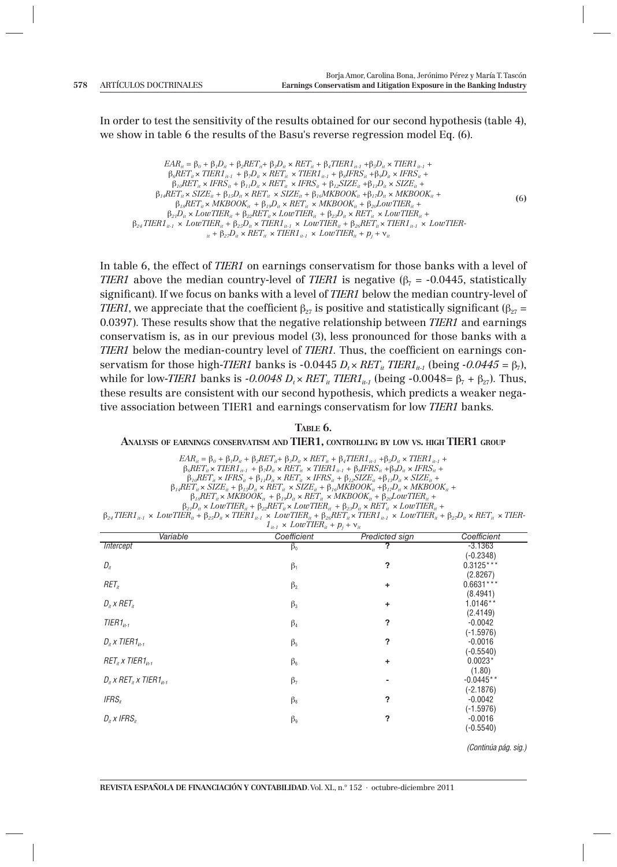In order to test the sensitivity of the results obtained for our second hypothesis (table 4), we show in table 6 the results of the Basu's reverse regression model Eq. (6).

*EAR<sub>it</sub>* = β<sub>0</sub> + β<sub>*1</sub>D<sub>it</sub></sub> + β<sub>2</sub><i>RET<sub>it</sub>* + β<sub>3</sub>D<sub>it</sub></sub> × *RET<sub>it</sub>* + β<sub>4</sub>*TIER1*<sub>it-1</sub> +β<sub>5</sub>D<sub>it</sub></sub> × *TIER1*<sub>it-1</sub> +</sub>  $β<sub>6</sub>RET<sub>it</sub> × *TIER1<sub>it-1</sub>* + β<sub>7</sub>D<sub>it</sub> × *RET<sub>it</sub>* × *TIER1<sub>it-1</sub>* + β<sub>8</sub>IFRS<sub>it</sub> + β<sub>9</sub>D<sub>it</sub> × *IFRS<sub>it</sub>* +$  $\beta_{10}RET_u \times IFRS_u + \beta_{11}D_u \times RET_u \times IFRS_u + \beta_{12}SIZE_u + \beta_{13}D_u \times SIZE_u + \beta_{14}D_u$  $β_{14}RET_{it} \times SIZE_{it} + β_{15}D_{it} \times RET_{it} \times SIZE_{it} + β_{16}MKBOOK_{it} + β_{17}D_{it} \times MKBOOK_{it} +$  $\beta_{18}RET_u \times MKBOOK_{it} + \beta_{19}D_{it} \times RET_u \times MKBOOK_{it} + \beta_{20}LowTIER_{it} +$  $\beta_{21}D_{ii} \times LowTIER_{ii} + \beta_{22}RET_{ii} \times LowTIER_{ii} + \beta_{23}D_{ii} \times RET_{ii} \times LowTIER_{ii} +$  $\beta_{24}$  TIER1<sub>it-1</sub> × *LowTIER<sub>it</sub>* +  $\beta_{25}D_{ii}$  × TIER1<sub>it-1</sub> × *LowTIER<sub>it</sub>* +  $\beta_{26}$ *RET<sub>it</sub>* × *TIER1<sub>it-1</sub>* × *LowTIER-* $\mu_{it}$  +  $\beta_{27}D_{it} \times RET_{it} \times TIER1_{it-1} \times LowTIER_{it} + p_j + v_{it}$ **(**6**)**

In table 6, the effect of *TIER1* on earnings conservatism for those banks with a level of *TIER1* above the median country-level of *TIER1* is negative  $(\beta_7 = -0.0445,$  statistically significant). If we focus on banks with a level of *TIER1* below the median country-level of *TIER1*, we appreciate that the coefficient  $\beta_{27}$  is positive and statistically significant  $(\beta_{27} =$ 0.0397). These results show that the negative relationship between *TIER1* and earnings conservatism is, as in our previous model (3), less pronounced for those banks with a *TIER1* below the median-country level of *TIER1*. Thus, the coefficient on earnings conservatism for those high-*TIER1* banks is  $-0.0445 D_t \times RET_{it}TIER1_{it-1}$  (being  $-0.0445 = \beta_7$ ), while for low-*TIER1* banks is  $-0.0048 D_t \times RET_{it} TIER1_{it-1}$  (being  $-0.0048 = \beta_7 + \beta_{27}$ ). Thus, these results are consistent with our second hypothesis, which predicts a weaker negative association between TIER1 and earnings conservatism for low *TIER1* banks*.*

**TABLE 6.**

#### **ANALYSIS OF EARNINGS CONSERVATISM AND TIER1, CONTROLLING BY LOW VS. HIGH TIER1 GROUP**

 $EAR_{it} = \beta_0 + \beta_1D_{it} + \beta_2RET_{it} + \beta_3D_{it} \times RET_{it} + \beta_4TIER1_{it-1} + \beta_5D_{it} \times TIER1_{it-1} + \beta_6D_{it} \times TIER1_{it-1}$  $\beta_6RET_u \times TIER1_{u-1} + \beta_7D_u \times RET_u \times TIER1_{u-1} + \beta_8IFRS_u + \beta_9D_u \times IFRS_u +$  $\beta_{10}$ *RET<sub>it</sub>* × *IFRS*<sub>it</sub> +  $\beta_{11}D_{ii}$  × *RET*<sub>it</sub> × *IFRS*<sub>it</sub> +  $\beta_{12}$ *SIZE*<sub>it</sub> +  $\beta_{13}D_{ii}$  × *SIZE*<sub>it</sub> +  $\beta_{14}RET_u \times SIZE_u + \beta_{15}D_u \times RET_u \times SIZE_u + \beta_{16}MKBOOK_u + \beta_{17}D_u \times MKBOOK_u +$  $\beta_{18}RET_{it} \times MKBOOK_{it} + \beta_{19}D_{it} \times RET_{it} \times MKBOOK_{it} + \beta_{20}LowTIER_{it} +$ 

 $\beta_{21}D_{u} \times LowTIER_{u} + \beta_{22}RET_{u} \times LowTIER_{u} + \beta_{23}D_{u} \times RET_{u} \times LowTIER_{u} +$ 

β*24 TIER1it-1* × *LowTIERit +* β*25Dit* × *TIER1it-1* × *LowTIERit +* β*26RETit* × *TIER1it-1* × *LowTIERit +* β*27Dit* × *RETit* × *TIER-* $1_{it-1} \times LowTIER_{it} + p_j + v_{it}$ 

| Variable                                          | Coefficient | Predicted sign | Coefficient |
|---------------------------------------------------|-------------|----------------|-------------|
| <b>Intercept</b>                                  | $\beta_0$   |                | $-3.1363$   |
|                                                   |             |                | $(-0.2348)$ |
| $D_{it}$                                          | $\beta_1$   | ?              | $0.3125***$ |
|                                                   |             |                | (2.8267)    |
| RET <sub>tr</sub>                                 | $\beta_2$   | ÷              | $0.6631***$ |
|                                                   |             |                | (8.4941)    |
| $D_i$ x RET <sub>it</sub>                         | $\beta_3$   | ٠              | $1.0146**$  |
|                                                   |             |                | (2.4149)    |
| $TIER1_{it-1}$                                    | $\beta_4$   | ?              | $-0.0042$   |
|                                                   |             |                | $(-1.5976)$ |
| $D_i$ x TIER1 <sub>it-1</sub>                     | $\beta_5$   | ?              | $-0.0016$   |
|                                                   |             |                | $(-0.5540)$ |
| $RET_i$ x TIER1 <sub>it-1</sub>                   | $\beta_6$   | ÷              | $0.0023*$   |
|                                                   |             |                | (1.80)      |
| $D_i$ x RET <sub>it</sub> x TIER1 <sub>it-1</sub> | $\beta_7$   | ۰              | $-0.0445**$ |
|                                                   |             |                | $(-2.1876)$ |
| IFRS <sub>it</sub>                                | $\beta_{8}$ | ?              | $-0.0042$   |
|                                                   |             |                | $(-1.5976)$ |
| $D_i$ x IFRS <sub>i</sub>                         | $\beta_{9}$ | ?              | $-0.0016$   |
|                                                   |             |                | $(-0.5540)$ |

(Continúa pág. sig.)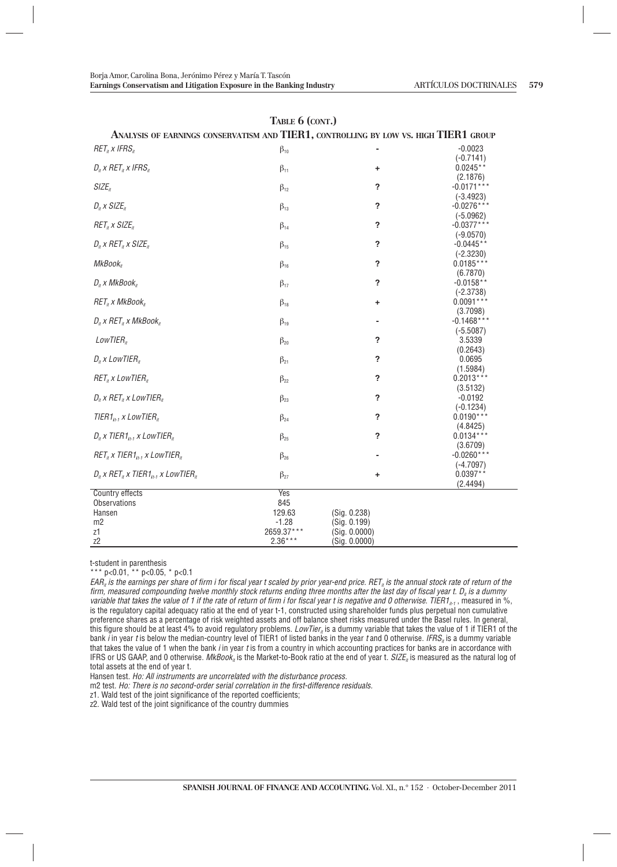| ANALYSIS OF EARNINGS CONSERVATISM AND TIER1, CONTROLLING BY LOW VS. HIGH TIER1 GROUP |              |                          |                             |
|--------------------------------------------------------------------------------------|--------------|--------------------------|-----------------------------|
| $RET_{it}$ x IFRS <sub>n</sub>                                                       | $\beta_{10}$ |                          | $-0.0023$                   |
| $D_i$ x RET <sub>it</sub> x IFRS <sub>it</sub>                                       |              |                          | $(-0.7141)$<br>$0.0245**$   |
|                                                                                      | $\beta_{11}$ | +                        | (2.1876)                    |
| $SIZE_{it}$                                                                          | $\beta_{12}$ | ?                        | $-0.0171***$                |
|                                                                                      |              |                          | $(-3.4923)$                 |
| $D_i$ x SIZE <sub>it</sub>                                                           | $\beta_{13}$ | ?                        | $-0.0276***$                |
| $RETit$ x SIZE <sub>it</sub>                                                         | $\beta_{14}$ | ?                        | $(-5.0962)$<br>$-0.0377***$ |
|                                                                                      |              |                          | $(-9.0570)$                 |
| $D_i$ x RET <sub>i</sub> x SIZE <sub>it</sub>                                        | $\beta_{15}$ | ?                        | $-0.0445**$                 |
|                                                                                      |              |                          | $(-2.3230)$                 |
| MkBook <sub>it</sub>                                                                 | $\beta_{16}$ | $\ddot{\phantom{0}}$     | $0.0185***$                 |
|                                                                                      |              | $\overline{\phantom{a}}$ | (6.7870)<br>$-0.0158**$     |
| $D_i$ , x MkBook <sub>it</sub>                                                       | $\beta_{17}$ |                          | $(-2.3738)$                 |
| $RET_i$ x MkBook <sub>it</sub>                                                       | $\beta_{18}$ | +                        | $0.0091***$                 |
|                                                                                      |              |                          | (3.7098)                    |
| $D_i$ x RET <sub>i</sub> x MkBook <sub>i</sub>                                       | $\beta_{19}$ |                          | $-0.1468***$                |
|                                                                                      |              |                          | $(-5.5087)$                 |
| LowTIER <sub>ir</sub>                                                                | $\beta_{20}$ | ?                        | 3.5339                      |
|                                                                                      |              |                          | (0.2643)                    |
| $D_i$ x LowTIER $_i$                                                                 | $\beta_{21}$ | ?                        | 0.0695                      |
|                                                                                      |              |                          | (1.5984)                    |
| $RETn$ x LowTIER $n$                                                                 | $\beta_{22}$ | ?                        | $0.2013***$<br>(3.5132)     |
| $D_i$ x RET <sub>i</sub> x LowTIER <sub>it</sub>                                     | $\beta_{23}$ | ?                        | $-0.0192$                   |
|                                                                                      |              |                          | $(-0.1234)$                 |
| TIER1 $_{it-1}$ x LowTIER $_{it}$                                                    | $\beta_{24}$ | ?                        | $0.0190***$                 |
|                                                                                      |              |                          | (4.8425)                    |
| $D_i$ x TIER1 $_{i+1}$ x LowTIER <sub>it</sub>                                       | $\beta_{25}$ | ?                        | $0.0134***$                 |
|                                                                                      |              |                          | (3.6709)                    |
| $RET_{it}$ x TIER1 <sub>it-1</sub> x LowTIER <sub>it</sub>                           | $\beta_{26}$ |                          | $-0.0260**$                 |
|                                                                                      |              |                          | $(-4.7097)$                 |
| $D_i$ x RET <sub>i</sub> x TIER1 <sub>i1-1</sub> x LowTIER <sub>it</sub>             | $\beta_{27}$ | ÷                        | $0.0397**$                  |
| Country effects                                                                      | Yes          |                          | (2.4494)                    |
| <b>Observations</b>                                                                  | 845          |                          |                             |
| Hansen                                                                               | 129.63       | (Sig. 0.238)             |                             |
| m2                                                                                   | $-1.28$      | (Sig. 0.199)             |                             |
| z1                                                                                   | 2659.37***   | (Sig. 0.0000)            |                             |
| Z <sup>2</sup>                                                                       | $2.36***$    | (Sig. 0.0000)            |                             |

#### **TABLE 6 (CONT.)**

t-student in parenthesis

\*\*\* p<0.01, \*\* p<0.05, \* p<0.1

 $EAR_{n}$  is the earnings per share of firm i for fiscal year t scaled by prior year-end price. RET<sub>n</sub> is the annual stock rate of return of the firm, measured compounding twelve monthly stock returns ending three months after the last day of fiscal year t. D. is a dummy variable that takes the value of 1 if the rate of return of firm i for fiscal year t is negative and 0 otherwise. TIER1<sub>it-1</sub>, measured in %, is the regulatory capital adequacy ratio at the end of year t-1, constructed using shareholder funds plus perpetual non cumulative preference shares as a percentage of risk weighted assets and off balance sheet risks measured under the Basel rules. In general, this figure should be at least 4% to avoid regulatory problems. LowTier<sub>n</sub> is a dummy variable that takes the value of 1 if TIER1 of the bank  $\overline{l}$  in year t is below the median-country level of TIER1 of listed banks in the year t and 0 otherwise. *IFRS<sub>it</sub>* is a dummy variable that takes the value of 1 when the bank *i* in year *t* is from a country in which accounting practices for banks are in accordance with IFRS or US GAAP, and 0 otherwise.  $MkBook<sub>n</sub>$  is the Market-to-Book ratio at the end of year t.  $SIZE<sub>n</sub>$  is measured as the natural log of total assets at the end of year t.

Hansen test. Ho: All instruments are uncorrelated with the disturbance process.

m2 test. Ho: There is no second-order serial correlation in the first-difference residuals.

z1. Wald test of the joint significance of the reported coefficients;

z2. Wald test of the joint significance of the country dummies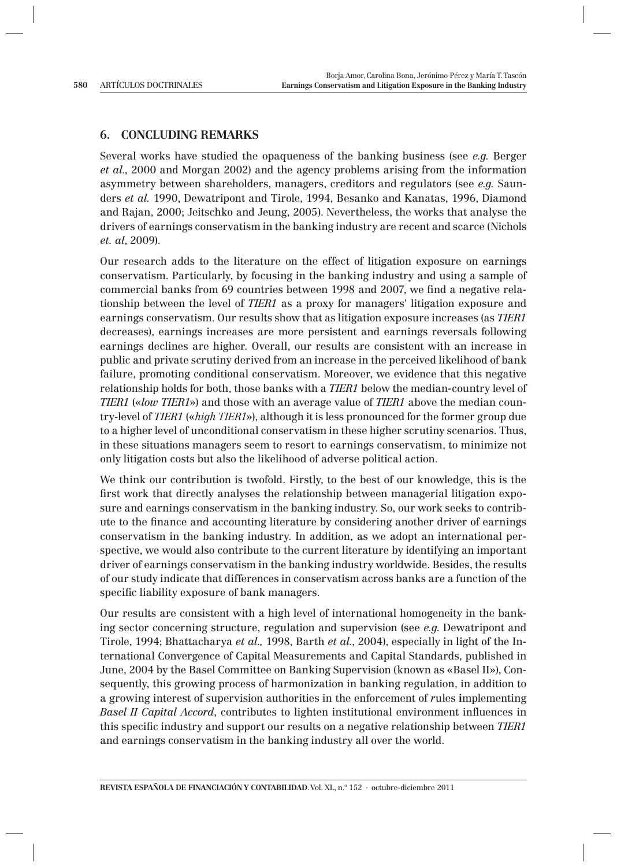## **6. CONCLUDING REMARKS**

Several works have studied the opaqueness of the banking business (see *e.g.* Berger *et al.*, 2000 and Morgan 2002) and the agency problems arising from the information asymmetry between shareholders, managers, creditors and regulators (see *e.g.* Saunders *et al.* 1990, Dewatripont and Tirole, 1994, Besanko and Kanatas, 1996, Diamond and Rajan, 2000; Jeitschko and Jeung, 2005). Nevertheless, the works that analyse the drivers of earnings conservatism in the banking industry are recent and scarce (Nichols *et. al*, 2009).

Our research adds to the literature on the effect of litigation exposure on earnings conservatism. Particularly, by focusing in the banking industry and using a sample of commercial banks from 69 countries between 1998 and 2007, we find a negative relationship between the level of *TIER1* as a proxy for managers' litigation exposure and earnings conservatism. Our results show that as litigation exposure increases (as *TIER1* decreases), earnings increases are more persistent and earnings reversals following earnings declines are higher. Overall, our results are consistent with an increase in public and private scrutiny derived from an increase in the perceived likelihood of bank failure, promoting conditional conservatism. Moreover, we evidence that this negative relationship holds for both, those banks with a *TIER1* below the median-country level of *TIER1* («*low TIER1*») and those with an average value of *TIER1* above the median country-level of *TIER1* («*high TIER1*»), although it is less pronounced for the former group due to a higher level of unconditional conservatism in these higher scrutiny scenarios. Thus, in these situations managers seem to resort to earnings conservatism, to minimize not only litigation costs but also the likelihood of adverse political action.

We think our contribution is twofold. Firstly, to the best of our knowledge, this is the first work that directly analyses the relationship between managerial litigation exposure and earnings conservatism in the banking industry. So, our work seeks to contribute to the finance and accounting literature by considering another driver of earnings conservatism in the banking industry. In addition, as we adopt an international perspective, we would also contribute to the current literature by identifying an important driver of earnings conservatism in the banking industry worldwide. Besides, the results of our study indicate that differences in conservatism across banks are a function of the specific liability exposure of bank managers.

Our results are consistent with a high level of international homogeneity in the banking sector concerning structure, regulation and supervision (see *e.g*. Dewatripont and Tirole, 1994; Bhattacharya *et al.,* 1998, Barth *et al.*, 2004), especially in light of the International Convergence of Capital Measurements and Capital Standards, published in June, 2004 by the Basel Committee on Banking Supervision (known as «Basel II»), Consequently, this growing process of harmonization in banking regulation, in addition to a growing interest of supervision authorities in the enforcement of *r*ules **i**mplementing *Basel II Capital Accord*, contributes to lighten institutional environment influences in this specific industry and support our results on a negative relationship between *TIER1* and earnings conservatism in the banking industry all over the world.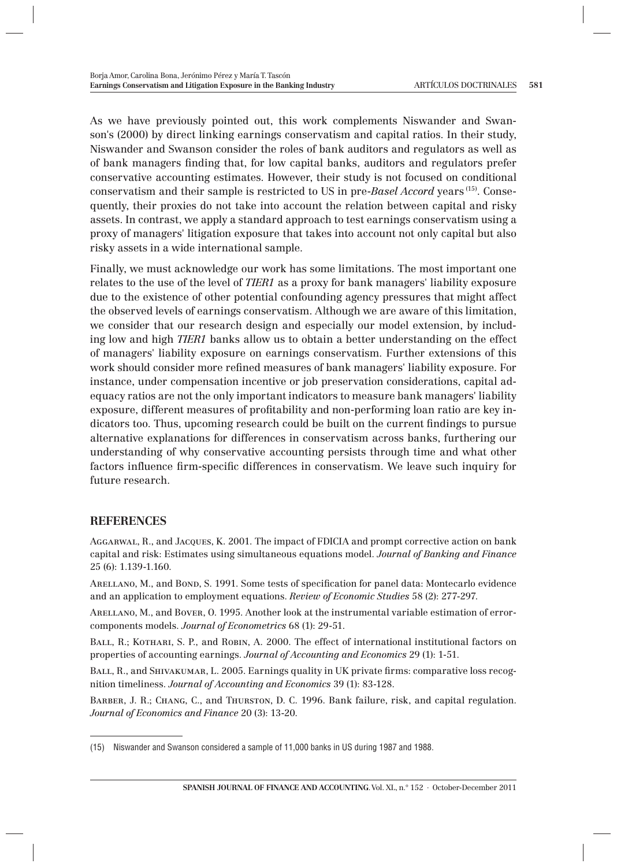As we have previously pointed out, this work complements Niswander and Swanson's (2000) by direct linking earnings conservatism and capital ratios. In their study, Niswander and Swanson consider the roles of bank auditors and regulators as well as of bank managers finding that, for low capital banks, auditors and regulators prefer conservative accounting estimates. However, their study is not focused on conditional conservatism and their sample is restricted to US in pre-*Basel Accord* years (15). Consequently, their proxies do not take into account the relation between capital and risky assets. In contrast, we apply a standard approach to test earnings conservatism using a proxy of managers' litigation exposure that takes into account not only capital but also risky assets in a wide international sample.

Finally, we must acknowledge our work has some limitations. The most important one relates to the use of the level of *TIER1* as a proxy for bank managers' liability exposure due to the existence of other potential confounding agency pressures that might affect the observed levels of earnings conservatism. Although we are aware of this limitation, we consider that our research design and especially our model extension, by including low and high *TIER1* banks allow us to obtain a better understanding on the effect of managers' liability exposure on earnings conservatism. Further extensions of this work should consider more refined measures of bank managers' liability exposure. For instance, under compensation incentive or job preservation considerations, capital adequacy ratios are not the only important indicators to measure bank managers' liability exposure, different measures of profitability and non-performing loan ratio are key indicators too. Thus, upcoming research could be built on the current findings to pursue alternative explanations for differences in conservatism across banks, furthering our understanding of why conservative accounting persists through time and what other factors influence firm-specific differences in conservatism. We leave such inquiry for future research.

## **REFERENCES**

Aggarwal, R., and Jacques, K. 2001. The impact of FDICIA and prompt corrective action on bank capital and risk: Estimates using simultaneous equations model. *Journal of Banking and Finance*  25 (6): 1.139-1.160.

ARELLANO, M., and BOND, S. 1991. Some tests of specification for panel data: Montecarlo evidence and an application to employment equations. *Review of Economic Studies* 58 (2): 277-297.

Arellano, M., and Bover, O. 1995. Another look at the instrumental variable estimation of errorcomponents models. *Journal of Econometrics* 68 (1): 29-51.

BALL, R.; KOTHARI, S. P., and ROBIN, A. 2000. The effect of international institutional factors on properties of accounting earnings. *Journal of Accounting and Economics* 29 (1): 1-51.

BALL, R., and SHIVAKUMAR, L. 2005. Earnings quality in UK private firms: comparative loss recognition timeliness. *Journal of Accounting and Economics* 39 (1): 83-128.

Barber, J. R.; Chang, C., and Thurston, D. C. 1996. Bank failure, risk, and capital regulation. *Journal of Economics and Finance* 20 (3): 13-20.

<sup>(15)</sup> Niswander and Swanson considered a sample of 11,000 banks in US during 1987 and 1988.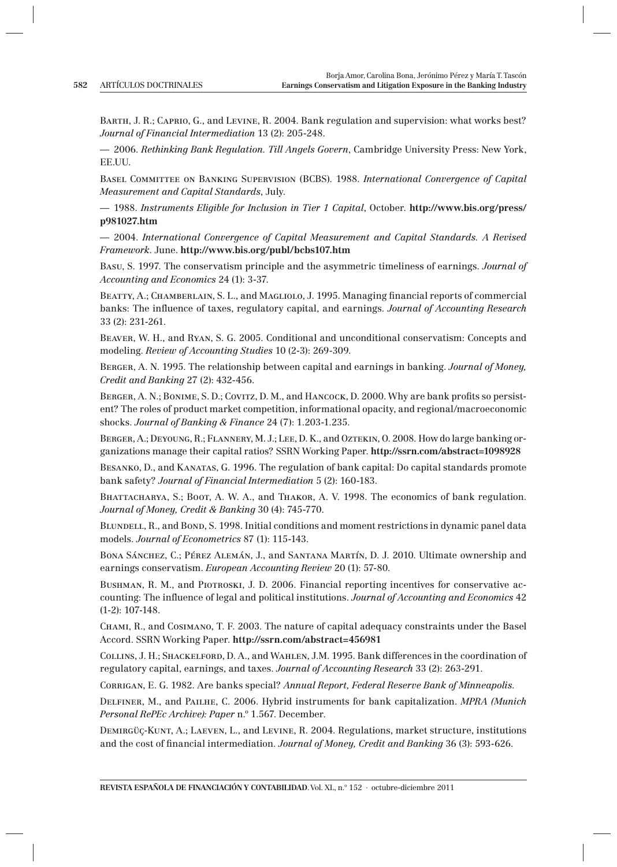Barth, J. R.; Caprio, G., and Levine, R. 2004. Bank regulation and supervision: what works best? *Journal of Financial Intermediation* 13 (2): 205-248.

— 2006. *Rethinking Bank Regulation. Till Angels Govern*, Cambridge University Press: New York, EE.UU.

Basel Committee on Banking Supervision (BCBS). 1988. *International Convergence of Capital Measurement and Capital Standards*, July.

— 1988. *Instruments Eligible for Inclusion in Tier 1 Capital*, October. **http://www.bis.org/press/ p981027.htm**

— 2004. *International Convergence of Capital Measurement and Capital Standards. A Revised Framework*. June. **http://www.bis.org/publ/bcbs107.htm**

Basu, S. 1997. The conservatism principle and the asymmetric timeliness of earnings. *Journal of Accounting and Economics* 24 (1): 3-37.

BEATTY, A.; CHAMBERLAIN, S. L., and MAGLIOLO, J. 1995. Managing financial reports of commercial banks: The influence of taxes, regulatory capital, and earnings. *Journal of Accounting Research* 33 (2): 231-261.

Beaver, W. H., and Ryan, S. G. 2005. Conditional and unconditional conservatism: Concepts and modeling. *Review of Accounting Studies* 10 (2-3): 269-309.

Berger, A. N. 1995. The relationship between capital and earnings in banking. *Journal of Money, Credit and Banking* 27 (2): 432-456.

BERGER, A. N.; BONIME, S. D.; COVITZ, D. M., and HANCOCK, D. 2000. Why are bank profits so persistent? The roles of product market competition, informational opacity, and regional/macroeconomic shocks. *Journal of Banking & Finance* 24 (7): 1.203-1.235.

Berger, A.; Deyoung, R.; Flannery, M. J.; Lee, D. K., and Oztekin, O. 2008*.* How do large banking organizations manage their capital ratios? SSRN Working Paper. **http://ssrn.com/abstract=1098928**

Besanko, D., and Kanatas, G. 1996. The regulation of bank capital: Do capital standards promote bank safety? *Journal of Financial Intermediation* 5 (2): 160-183.

BHATTACHARYA, S.; BOOT, A. W. A., and THAKOR, A. V. 1998. The economics of bank regulation. *Journal of Money, Credit & Banking* 30 (4): 745-770.

BLUNDELL, R., and BOND, S. 1998. Initial conditions and moment restrictions in dynamic panel data models. *Journal of Econometrics* 87 (1): 115-143.

BONA SÁNCHEZ, C.; PÉREZ ALEMÁN, J., and SANTANA MARTÍN, D. J. 2010. Ultimate ownership and earnings conservatism. *European Accounting Review* 20 (1): 57-80.

BUSHMAN, R. M., and PIOTROSKI, J. D. 2006. Financial reporting incentives for conservative accounting: The influence of legal and political institutions. *Journal of Accounting and Economics* 42 (1-2): 107-148.

Chami, R., and Cosimano, T. F. 2003. The nature of capital adequacy constraints under the Basel Accord. SSRN Working Paper. **http://ssrn.com/abstract=456981**

Collins, J. H.; Shackelford, D. A., and Wahlen, J.M. 1995. Bank differences in the coordination of regulatory capital, earnings, and taxes. *Journal of Accounting Research* 33 (2): 263-291.

Corrigan, E. G. 1982. Are banks special? *Annual Report, Federal Reserve Bank of Minneapolis*.

Delfiner, M., and Pailhe, C. 2006. Hybrid instruments for bank capitalization. *MPRA (Munich Personal RePEc Archive): Paper* n.º 1.567. December.

Demirgüç-Kunt, A.; Laeven, L., and Levine, R. 2004. Regulations, market structure, institutions and the cost of financial intermediation. *Journal of Money, Credit and Banking* 36 (3): 593-626.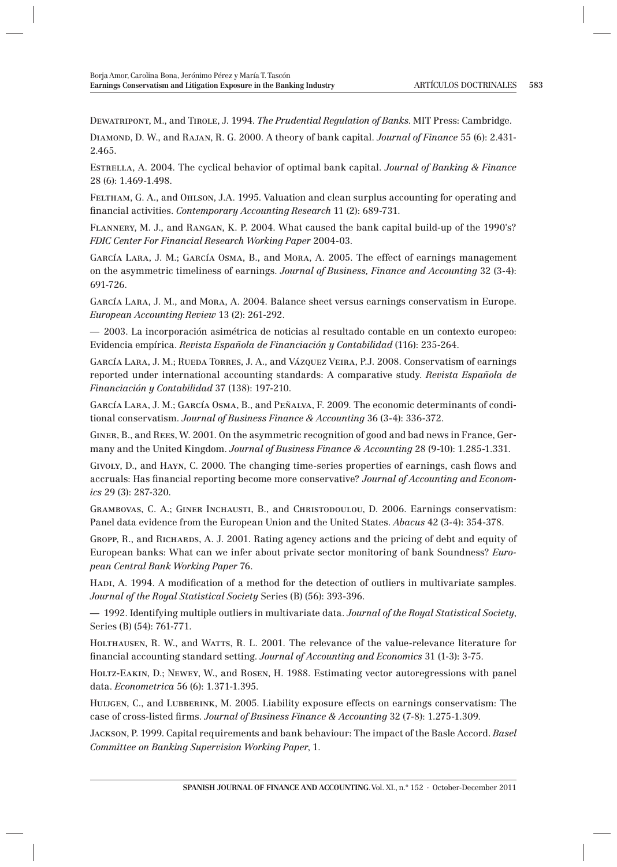Dewatripont, M., and Tirole, J. 1994. *The Prudential Regulation of Banks*. MIT Press: Cambridge.

Diamond, D. W., and Rajan, R. G. 2000. A theory of bank capital. *Journal of Finance* 55 (6): 2.431- 2.465.

Estrella, A. 2004. The cyclical behavior of optimal bank capital. *Journal of Banking & Finance* 28 (6): 1.469-1.498.

Feltham, G. A., and Ohlson, J.A. 1995. Valuation and clean surplus accounting for operating and fi nancial activities. *Contemporary Accounting Research* 11 (2): 689-731.

Flannery, M. J., and Rangan, K. P. 2004. What caused the bank capital build-up of the 1990's? *FDIC Center For Financial Research Working Paper* 2004-03.

García Lara, J. M.; García Osma, B., and Mora, A. 2005. The effect of earnings management on the asymmetric timeliness of earnings. *Journal of Business, Finance and Accounting* 32 (3-4): 691-726.

García Lara, J. M., and Mora, A. 2004. Balance sheet versus earnings conservatism in Europe. *European Accounting Review* 13 (2): 261-292.

— 2003. La incorporación asimétrica de noticias al resultado contable en un contexto europeo: Evidencia empírica. *Revista Española de Financiación y Contabilidad* (116): 235-264.

García Lara, J. M.; Rueda Torres, J. A., and Vázquez Veira, P.J. 2008. Conservatism of earnings reported under international accounting standards: A comparative study. *Revista Española de Financiación y Contabilidad* 37 (138): 197-210.

García Lara, J. M.; García Osma, B., and Peñalva, F. 2009. The economic determinants of conditional conservatism. *Journal of Business Finance & Accounting* 36 (3-4): 336-372.

Giner, B., and Rees, W. 2001. On the asymmetric recognition of good and bad news in France, Germany and the United Kingdom. *Journal of Business Finance & Accounting* 28 (9-10): 1.285-1.331.

Givoly, D., and HAYN, C. 2000. The changing time-series properties of earnings, cash flows and accruals: Has financial reporting become more conservative? *Journal of Accounting and Economics* 29 (3): 287-320.

Grambovas, C. A.; Giner Inchausti, B., and Christodoulou, D. 2006. Earnings conservatism: Panel data evidence from the European Union and the United States. *Abacus* 42 (3-4): 354-378.

GROPP, R., and RICHARDS, A. J. 2001. Rating agency actions and the pricing of debt and equity of European banks: What can we infer about private sector monitoring of bank Soundness? *European Central Bank Working Paper* 76.

Hadi, A. 1994. A modification of a method for the detection of outliers in multivariate samples. *Journal of the Royal Statistical Society* Series (B) (56): 393-396.

— 1992. Identifying multiple outliers in multivariate data. *Journal of the Royal Statistical Society*, Series (B) (54): 761-771.

HOLTHAUSEN, R. W., and WATTS, R. L. 2001. The relevance of the value-relevance literature for financial accounting standard setting. *Journal of Accounting and Economics* 31 (1-3): 3-75.

Holtz-Eakin, D.; Newey, W., and Rosen, H. 1988. Estimating vector autoregressions with panel data. *Econometrica* 56 (6): 1.371-1.395.

HUIJGEN, C., and LUBBERINK, M. 2005. Liability exposure effects on earnings conservatism: The case of cross-listed firms. *Journal of Business Finance & Accounting* 32 (7-8): 1.275-1.309.

Jackson, P. 1999. Capital requirements and bank behaviour: The impact of the Basle Accord. *Basel Committee on Banking Supervision Working Paper*, 1.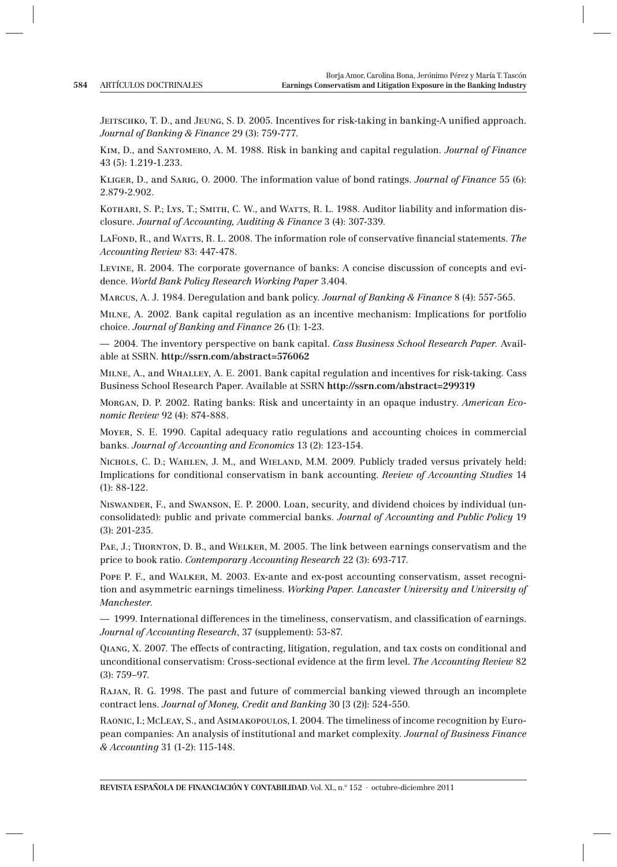JEITSCHKO, T. D., and JEUNG, S. D. 2005. Incentives for risk-taking in banking-A unified approach. *Journal of Banking & Finance* 29 (3): 759-777.

Kim, D., and Santomero, A. M. 1988. Risk in banking and capital regulation. *Journal of Finance* 43 (5): 1.219-1.233.

Kliger, D., and Sarig, O. 2000. The information value of bond ratings. *Journal of Finance* 55 (6): 2.879-2.902.

KOTHARI, S. P.; LYS, T.; SMITH, C. W., and WATTS, R. L. 1988. Auditor liability and information disclosure. *Journal of Accounting, Auditing & Finance* 3 (4): 307-339.

LAFOND, R., and WATTS, R. L. 2008. The information role of conservative financial statements. *The Accounting Review* 83: 447-478.

Levine, R. 2004. The corporate governance of banks: A concise discussion of concepts and evidence. *World Bank Policy Research Working Paper* 3.404.

Marcus, A. J. 1984. Deregulation and bank policy. *Journal of Banking & Finance* 8 (4): 557-565.

Milne, A. 2002. Bank capital regulation as an incentive mechanism: Implications for portfolio choice. *Journal of Banking and Finance* 26 (1): 1-23.

— 2004. The inventory perspective on bank capital. *Cass Business School Research Paper.* Available at SSRN. **http://ssrn.com/abstract=576062**

Milne, A., and Whalley, A. E. 2001. Bank capital regulation and incentives for risk-taking. Cass Business School Research Paper. Available at SSRN **http://ssrn.com/abstract=299319**

Morgan, D. P. 2002. Rating banks: Risk and uncertainty in an opaque industry. *American Economic Review* 92 (4): 874-888.

Moyer, S. E. 1990. Capital adequacy ratio regulations and accounting choices in commercial banks. *Journal of Accounting and Economics* 13 (2): 123-154.

NICHOLS, C. D.; WAHLEN, J. M., and WIELAND, M.M. 2009. Publicly traded versus privately held: Implications for conditional conservatism in bank accounting. *Review of Accounting Studies* 14 (1): 88-122.

Niswander, F., and Swanson, E. P. 2000. Loan, security, and dividend choices by individual (unconsolidated): public and private commercial banks. *Journal of Accounting and Public Policy* 19 (3): 201-235.

PAE, J.; THORNTON, D. B., and WELKER, M. 2005. The link between earnings conservatism and the price to book ratio. *Contemporary Accounting Research* 22 (3): 693-717.

POPE P. F., and WALKER, M. 2003. Ex-ante and ex-post accounting conservatism, asset recognition and asymmetric earnings timeliness. *Working Paper. Lancaster University and University of Manchester*.

 $-$  1999. International differences in the timeliness, conservatism, and classification of earnings. *Journal of Accounting Research*, 37 (supplement): 53-87.

Qiang, X. 2007. The effects of contracting, litigation, regulation, and tax costs on conditional and unconditional conservatism: Cross-sectional evidence at the firm level. *The Accounting Review* 82 (3): 759–97.

Rajan, R. G. 1998. The past and future of commercial banking viewed through an incomplete contract lens. *Journal of Money, Credit and Banking* 30 [3 (2)]: 524-550.

Raonic, I.; McLeay, S., and Asimakopoulos, I. 2004. The timeliness of income recognition by European companies: An analysis of institutional and market complexity. *Journal of Business Finance & Accounting* 31 (1-2): 115-148.